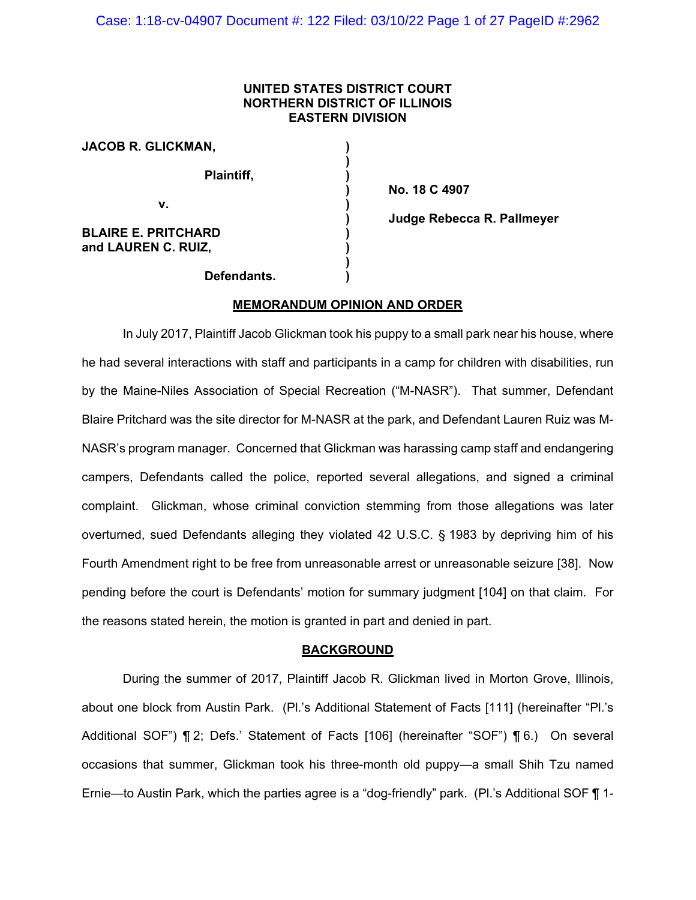### **UNITED STATES DISTRICT COURT NORTHERN DISTRICT OF ILLINOIS EASTERN DIVISION**

| JACOB R. GLICKMAN,                                |  |
|---------------------------------------------------|--|
| <b>Plaintiff,</b>                                 |  |
| v.                                                |  |
| <b>BLAIRE E. PRITCHARD</b><br>and LAUREN C. RUIZ, |  |
| Defendants.                                       |  |

**) No. 18 C 4907 ) Judge Rebecca R. Pallmeyer**

### **MEMORANDUM OPINION AND ORDER**

In July 2017, Plaintiff Jacob Glickman took his puppy to a small park near his house, where he had several interactions with staff and participants in a camp for children with disabilities, run by the Maine-Niles Association of Special Recreation ("M-NASR"). That summer, Defendant Blaire Pritchard was the site director for M-NASR at the park, and Defendant Lauren Ruiz was M-NASR's program manager. Concerned that Glickman was harassing camp staff and endangering campers, Defendants called the police, reported several allegations, and signed a criminal complaint. Glickman, whose criminal conviction stemming from those allegations was later overturned, sued Defendants alleging they violated 42 U.S.C. § 1983 by depriving him of his Fourth Amendment right to be free from unreasonable arrest or unreasonable seizure [38]. Now pending before the court is Defendants' motion for summary judgment [104] on that claim. For the reasons stated herein, the motion is granted in part and denied in part.

### **BACKGROUND**

During the summer of 2017, Plaintiff Jacob R. Glickman lived in Morton Grove, Illinois, about one block from Austin Park. (Pl.'s Additional Statement of Facts [111] (hereinafter "Pl.'s Additional SOF") ¶ 2; Defs.' Statement of Facts [106] (hereinafter "SOF") ¶ 6.) On several occasions that summer, Glickman took his three-month old puppy—a small Shih Tzu named Ernie—to Austin Park, which the parties agree is a "dog-friendly" park. (Pl.'s Additional SOF ¶ 1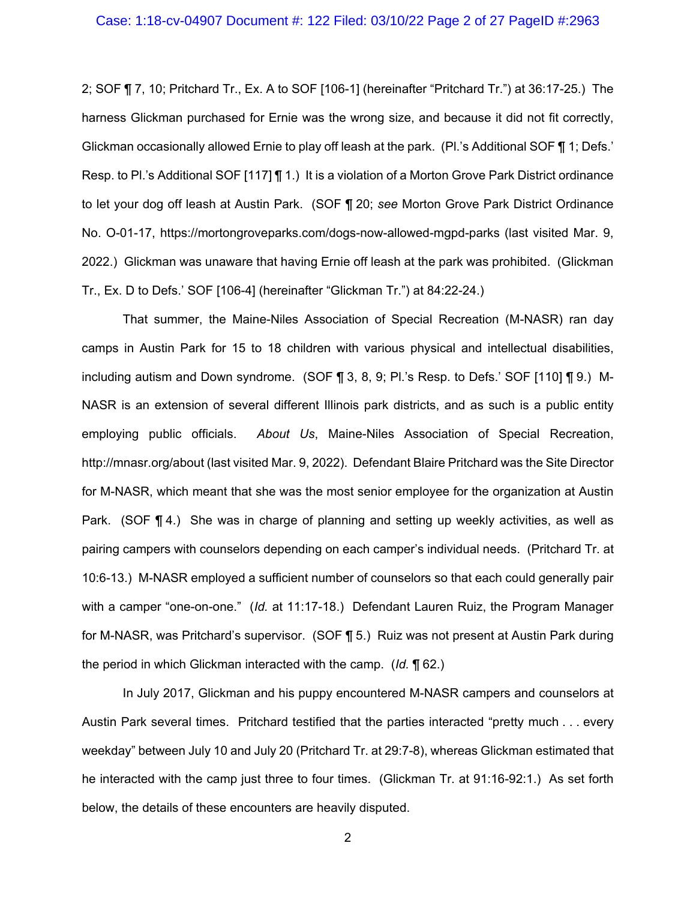2; SOF ¶ 7, 10; Pritchard Tr., Ex. A to SOF [106-1] (hereinafter "Pritchard Tr.") at 36:17-25.) The harness Glickman purchased for Ernie was the wrong size, and because it did not fit correctly, Glickman occasionally allowed Ernie to play off leash at the park. (Pl.'s Additional SOF ¶ 1; Defs.' Resp. to Pl.'s Additional SOF [117] ¶ 1.) It is a violation of a Morton Grove Park District ordinance to let your dog off leash at Austin Park. (SOF ¶ 20; *see* Morton Grove Park District Ordinance No. O-01-17, https://mortongroveparks.com/dogs-now-allowed-mgpd-parks (last visited Mar. 9, 2022.) Glickman was unaware that having Ernie off leash at the park was prohibited. (Glickman Tr., Ex. D to Defs.' SOF [106-4] (hereinafter "Glickman Tr.") at 84:22-24.)

That summer, the Maine-Niles Association of Special Recreation (M-NASR) ran day camps in Austin Park for 15 to 18 children with various physical and intellectual disabilities, including autism and Down syndrome. (SOF ¶ 3, 8, 9; Pl.'s Resp. to Defs.' SOF [110] ¶ 9.) M-NASR is an extension of several different Illinois park districts, and as such is a public entity employing public officials. *About Us*, Maine-Niles Association of Special Recreation, http://mnasr.org/about (last visited Mar. 9, 2022). Defendant Blaire Pritchard was the Site Director for M-NASR, which meant that she was the most senior employee for the organization at Austin Park. (SOF ¶ 4.) She was in charge of planning and setting up weekly activities, as well as pairing campers with counselors depending on each camper's individual needs. (Pritchard Tr. at 10:6-13.) M-NASR employed a sufficient number of counselors so that each could generally pair with a camper "one-on-one." (*Id.* at 11:17-18.) Defendant Lauren Ruiz, the Program Manager for M-NASR, was Pritchard's supervisor. (SOF ¶ 5.) Ruiz was not present at Austin Park during the period in which Glickman interacted with the camp. (*Id.* ¶ 62.)

In July 2017, Glickman and his puppy encountered M-NASR campers and counselors at Austin Park several times. Pritchard testified that the parties interacted "pretty much . . . every weekday" between July 10 and July 20 (Pritchard Tr. at 29:7-8), whereas Glickman estimated that he interacted with the camp just three to four times. (Glickman Tr. at 91:16-92:1.) As set forth below, the details of these encounters are heavily disputed.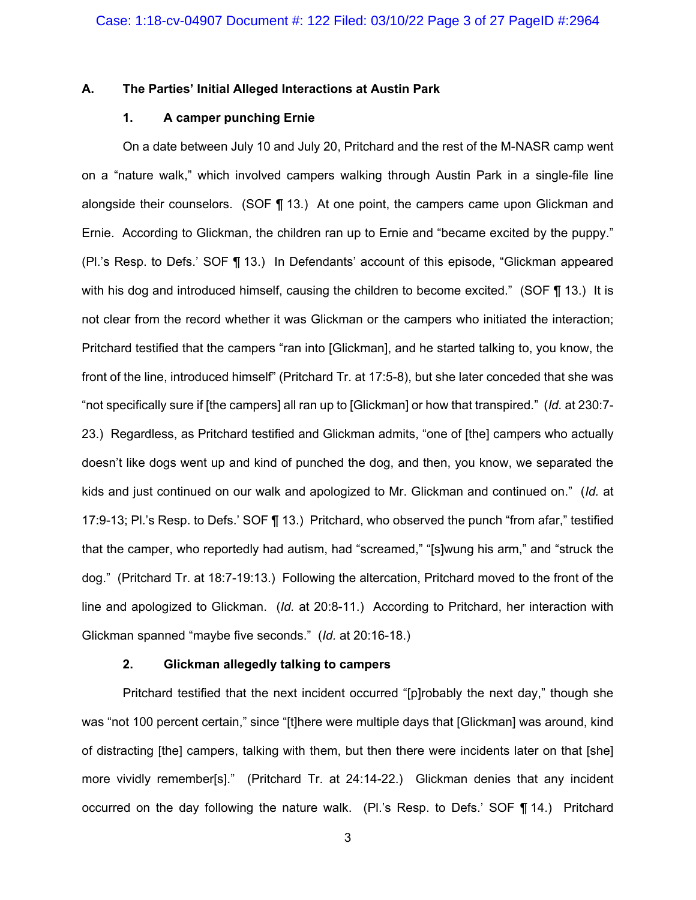#### **A. The Parties' Initial Alleged Interactions at Austin Park**

### **1. A camper punching Ernie**

On a date between July 10 and July 20, Pritchard and the rest of the M-NASR camp went on a "nature walk," which involved campers walking through Austin Park in a single-file line alongside their counselors. (SOF  $\P$  13.) At one point, the campers came upon Glickman and Ernie. According to Glickman, the children ran up to Ernie and "became excited by the puppy." (Pl.'s Resp. to Defs.' SOF ¶ 13.) In Defendants' account of this episode, "Glickman appeared with his dog and introduced himself, causing the children to become excited." (SOF ¶ 13.) It is not clear from the record whether it was Glickman or the campers who initiated the interaction; Pritchard testified that the campers "ran into [Glickman], and he started talking to, you know, the front of the line, introduced himself" (Pritchard Tr. at 17:5-8), but she later conceded that she was "not specifically sure if [the campers] all ran up to [Glickman] or how that transpired." (*Id.* at 230:7- 23.) Regardless, as Pritchard testified and Glickman admits, "one of [the] campers who actually doesn't like dogs went up and kind of punched the dog, and then, you know, we separated the kids and just continued on our walk and apologized to Mr. Glickman and continued on." (*Id.* at 17:9-13; Pl.'s Resp. to Defs.' SOF ¶ 13.) Pritchard, who observed the punch "from afar," testified that the camper, who reportedly had autism, had "screamed," "[s]wung his arm," and "struck the dog." (Pritchard Tr. at 18:7-19:13.) Following the altercation, Pritchard moved to the front of the line and apologized to Glickman. (*Id.* at 20:8-11.) According to Pritchard, her interaction with Glickman spanned "maybe five seconds." (*Id.* at 20:16-18.)

#### **2. Glickman allegedly talking to campers**

Pritchard testified that the next incident occurred "[p]robably the next day," though she was "not 100 percent certain," since "[t]here were multiple days that [Glickman] was around, kind of distracting [the] campers, talking with them, but then there were incidents later on that [she] more vividly remember[s]." (Pritchard Tr. at 24:14-22.) Glickman denies that any incident occurred on the day following the nature walk. (Pl.'s Resp. to Defs.' SOF ¶ 14.) Pritchard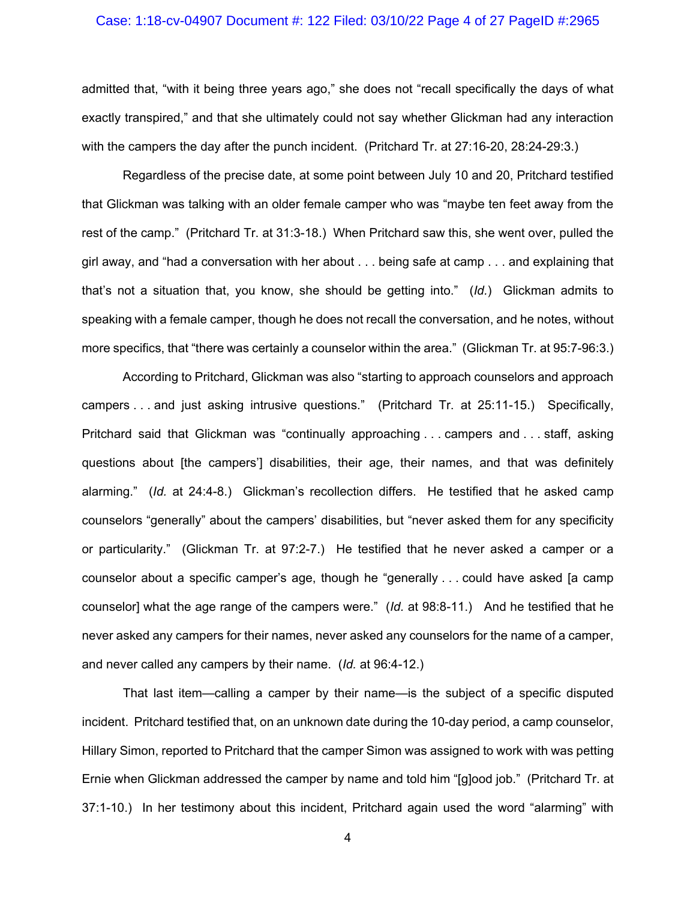### Case: 1:18-cv-04907 Document #: 122 Filed: 03/10/22 Page 4 of 27 PageID #:2965

admitted that, "with it being three years ago," she does not "recall specifically the days of what exactly transpired," and that she ultimately could not say whether Glickman had any interaction with the campers the day after the punch incident. (Pritchard Tr. at 27:16-20, 28:24-29:3.)

Regardless of the precise date, at some point between July 10 and 20, Pritchard testified that Glickman was talking with an older female camper who was "maybe ten feet away from the rest of the camp." (Pritchard Tr. at 31:3-18.) When Pritchard saw this, she went over, pulled the girl away, and "had a conversation with her about . . . being safe at camp . . . and explaining that that's not a situation that, you know, she should be getting into." (*Id.*) Glickman admits to speaking with a female camper, though he does not recall the conversation, and he notes, without more specifics, that "there was certainly a counselor within the area." (Glickman Tr. at 95:7-96:3.)

According to Pritchard, Glickman was also "starting to approach counselors and approach campers . . . and just asking intrusive questions." (Pritchard Tr. at 25:11-15.) Specifically, Pritchard said that Glickman was "continually approaching . . . campers and . . . staff, asking questions about [the campers'] disabilities, their age, their names, and that was definitely alarming." (*Id.* at 24:4-8.) Glickman's recollection differs. He testified that he asked camp counselors "generally" about the campers' disabilities, but "never asked them for any specificity or particularity." (Glickman Tr. at 97:2-7.) He testified that he never asked a camper or a counselor about a specific camper's age, though he "generally . . . could have asked [a camp counselor] what the age range of the campers were." (*Id.* at 98:8-11.) And he testified that he never asked any campers for their names, never asked any counselors for the name of a camper, and never called any campers by their name. (*Id.* at 96:4-12.)

That last item—calling a camper by their name—is the subject of a specific disputed incident. Pritchard testified that, on an unknown date during the 10-day period, a camp counselor, Hillary Simon, reported to Pritchard that the camper Simon was assigned to work with was petting Ernie when Glickman addressed the camper by name and told him "[g]ood job." (Pritchard Tr. at 37:1-10.) In her testimony about this incident, Pritchard again used the word "alarming" with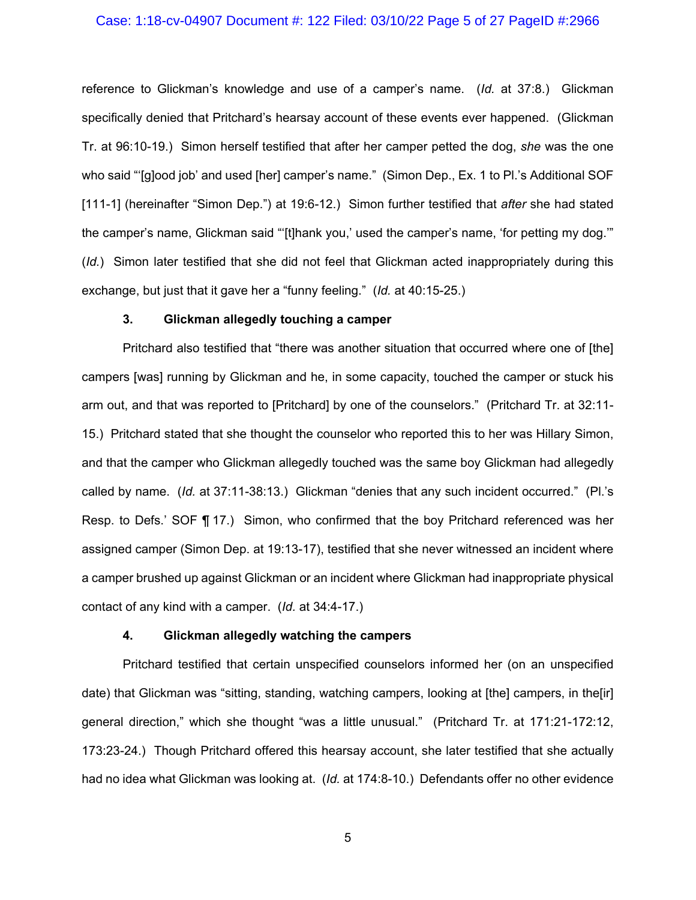#### Case: 1:18-cv-04907 Document #: 122 Filed: 03/10/22 Page 5 of 27 PageID #:2966

reference to Glickman's knowledge and use of a camper's name. (*Id.* at 37:8.) Glickman specifically denied that Pritchard's hearsay account of these events ever happened. (Glickman Tr. at 96:10-19.) Simon herself testified that after her camper petted the dog, *she* was the one who said "'[g]ood job' and used [her] camper's name." (Simon Dep., Ex. 1 to Pl.'s Additional SOF [111-1] (hereinafter "Simon Dep.") at 19:6-12.) Simon further testified that *after* she had stated the camper's name, Glickman said "'[t]hank you,' used the camper's name, 'for petting my dog.'" (*Id.*) Simon later testified that she did not feel that Glickman acted inappropriately during this exchange, but just that it gave her a "funny feeling." (*Id.* at 40:15-25.)

## **3. Glickman allegedly touching a camper**

Pritchard also testified that "there was another situation that occurred where one of [the] campers [was] running by Glickman and he, in some capacity, touched the camper or stuck his arm out, and that was reported to [Pritchard] by one of the counselors." (Pritchard Tr. at 32:11- 15.) Pritchard stated that she thought the counselor who reported this to her was Hillary Simon, and that the camper who Glickman allegedly touched was the same boy Glickman had allegedly called by name. (*Id.* at 37:11-38:13.) Glickman "denies that any such incident occurred." (Pl.'s Resp. to Defs.' SOF ¶ 17.) Simon, who confirmed that the boy Pritchard referenced was her assigned camper (Simon Dep. at 19:13-17), testified that she never witnessed an incident where a camper brushed up against Glickman or an incident where Glickman had inappropriate physical contact of any kind with a camper. (*Id.* at 34:4-17.)

### **4. Glickman allegedly watching the campers**

Pritchard testified that certain unspecified counselors informed her (on an unspecified date) that Glickman was "sitting, standing, watching campers, looking at [the] campers, in the[ir] general direction," which she thought "was a little unusual." (Pritchard Tr. at 171:21-172:12, 173:23-24.) Though Pritchard offered this hearsay account, she later testified that she actually had no idea what Glickman was looking at. (*Id.* at 174:8-10.) Defendants offer no other evidence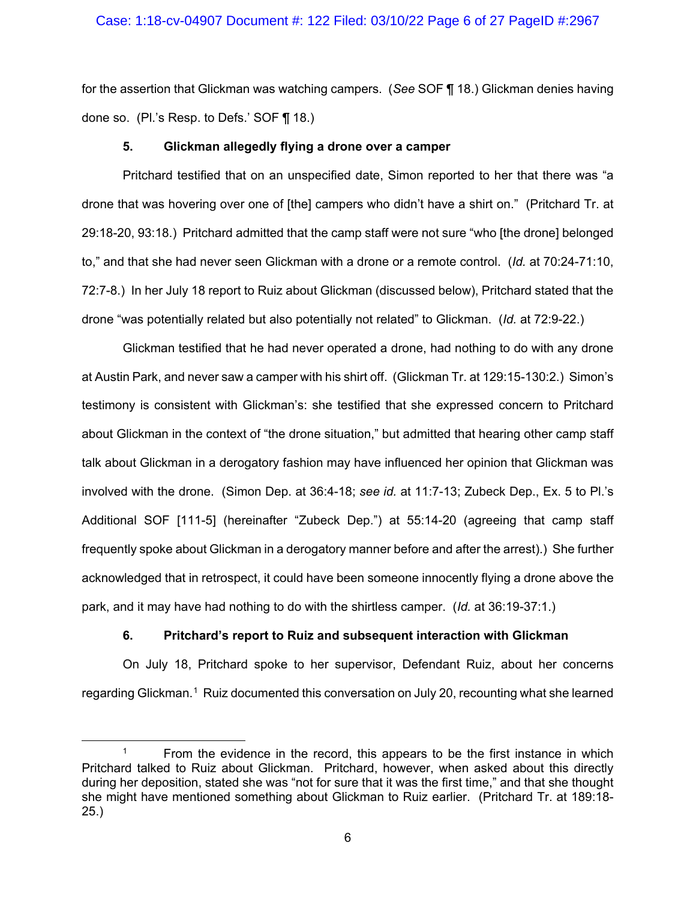### Case: 1:18-cv-04907 Document #: 122 Filed: 03/10/22 Page 6 of 27 PageID #:2967

for the assertion that Glickman was watching campers. (*See* SOF ¶ 18.) Glickman denies having done so. (Pl.'s Resp. to Defs.' SOF ¶ 18.)

### **5. Glickman allegedly flying a drone over a camper**

Pritchard testified that on an unspecified date, Simon reported to her that there was "a drone that was hovering over one of [the] campers who didn't have a shirt on." (Pritchard Tr. at 29:18-20, 93:18.) Pritchard admitted that the camp staff were not sure "who [the drone] belonged to," and that she had never seen Glickman with a drone or a remote control. (*Id.* at 70:24-71:10, 72:7-8.) In her July 18 report to Ruiz about Glickman (discussed below), Pritchard stated that the drone "was potentially related but also potentially not related" to Glickman. (*Id.* at 72:9-22.)

Glickman testified that he had never operated a drone, had nothing to do with any drone at Austin Park, and never saw a camper with his shirt off. (Glickman Tr. at 129:15-130:2.) Simon's testimony is consistent with Glickman's: she testified that she expressed concern to Pritchard about Glickman in the context of "the drone situation," but admitted that hearing other camp staff talk about Glickman in a derogatory fashion may have influenced her opinion that Glickman was involved with the drone. (Simon Dep. at 36:4-18; *see id.* at 11:7-13; Zubeck Dep., Ex. 5 to Pl.'s Additional SOF [111-5] (hereinafter "Zubeck Dep.") at 55:14-20 (agreeing that camp staff frequently spoke about Glickman in a derogatory manner before and after the arrest).) She further acknowledged that in retrospect, it could have been someone innocently flying a drone above the park, and it may have had nothing to do with the shirtless camper. (*Id.* at 36:19-37:1.)

### **6. Pritchard's report to Ruiz and subsequent interaction with Glickman**

On July 18, Pritchard spoke to her supervisor, Defendant Ruiz, about her concerns regarding Glickman.<sup>[1](#page-5-0)</sup> Ruiz documented this conversation on July 20, recounting what she learned

<span id="page-5-0"></span><sup>&</sup>lt;sup>1</sup> From the evidence in the record, this appears to be the first instance in which Pritchard talked to Ruiz about Glickman. Pritchard, however, when asked about this directly during her deposition, stated she was "not for sure that it was the first time," and that she thought she might have mentioned something about Glickman to Ruiz earlier. (Pritchard Tr. at 189:18- 25.)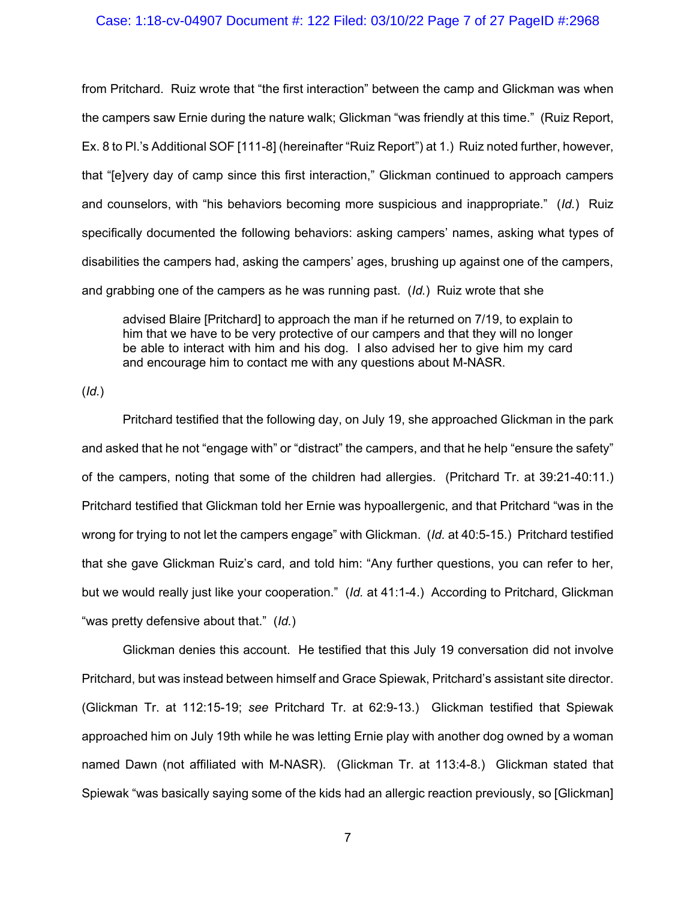#### Case: 1:18-cv-04907 Document #: 122 Filed: 03/10/22 Page 7 of 27 PageID #:2968

from Pritchard. Ruiz wrote that "the first interaction" between the camp and Glickman was when the campers saw Ernie during the nature walk; Glickman "was friendly at this time." (Ruiz Report, Ex. 8 to Pl.'s Additional SOF [111-8] (hereinafter "Ruiz Report") at 1.) Ruiz noted further, however, that "[e]very day of camp since this first interaction," Glickman continued to approach campers and counselors, with "his behaviors becoming more suspicious and inappropriate." (*Id.*) Ruiz specifically documented the following behaviors: asking campers' names, asking what types of disabilities the campers had, asking the campers' ages, brushing up against one of the campers, and grabbing one of the campers as he was running past. (*Id.*) Ruiz wrote that she

advised Blaire [Pritchard] to approach the man if he returned on 7/19, to explain to him that we have to be very protective of our campers and that they will no longer be able to interact with him and his dog. I also advised her to give him my card and encourage him to contact me with any questions about M-NASR.

(*Id.*)

Pritchard testified that the following day, on July 19, she approached Glickman in the park and asked that he not "engage with" or "distract" the campers, and that he help "ensure the safety" of the campers, noting that some of the children had allergies. (Pritchard Tr. at 39:21-40:11.) Pritchard testified that Glickman told her Ernie was hypoallergenic, and that Pritchard "was in the wrong for trying to not let the campers engage" with Glickman. (*Id.* at 40:5-15.) Pritchard testified that she gave Glickman Ruiz's card, and told him: "Any further questions, you can refer to her, but we would really just like your cooperation." (*Id.* at 41:1-4.) According to Pritchard, Glickman "was pretty defensive about that." (*Id.*)

Glickman denies this account. He testified that this July 19 conversation did not involve Pritchard, but was instead between himself and Grace Spiewak, Pritchard's assistant site director. (Glickman Tr. at 112:15-19; *see* Pritchard Tr. at 62:9-13.) Glickman testified that Spiewak approached him on July 19th while he was letting Ernie play with another dog owned by a woman named Dawn (not affiliated with M-NASR). (Glickman Tr. at 113:4-8.) Glickman stated that Spiewak "was basically saying some of the kids had an allergic reaction previously, so [Glickman]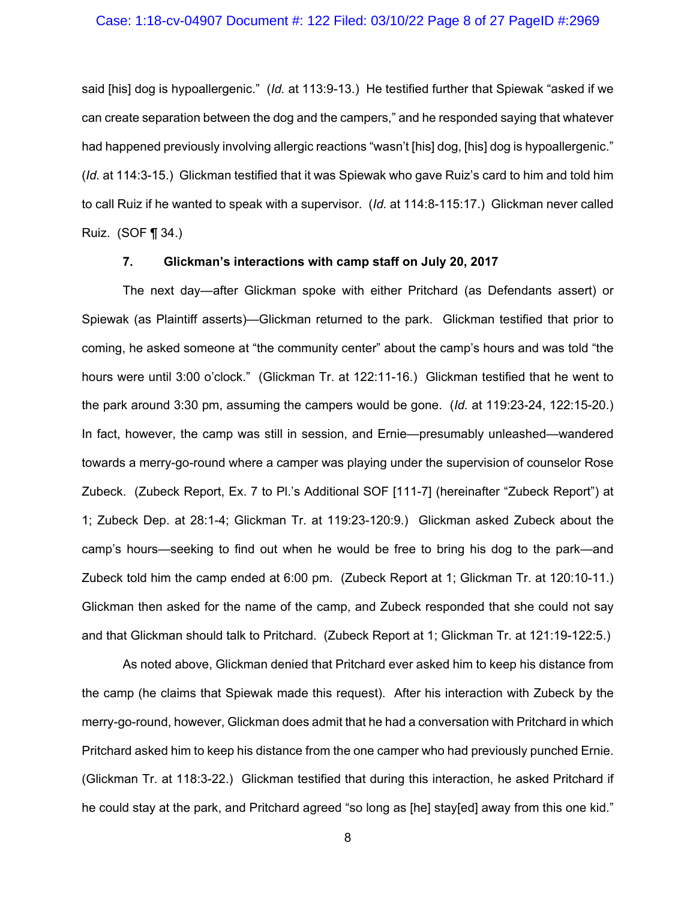#### Case: 1:18-cv-04907 Document #: 122 Filed: 03/10/22 Page 8 of 27 PageID #:2969

said [his] dog is hypoallergenic." (*Id.* at 113:9-13.) He testified further that Spiewak "asked if we can create separation between the dog and the campers," and he responded saying that whatever had happened previously involving allergic reactions "wasn't [his] dog, [his] dog is hypoallergenic." (*Id.* at 114:3-15.) Glickman testified that it was Spiewak who gave Ruiz's card to him and told him to call Ruiz if he wanted to speak with a supervisor. (*Id.* at 114:8-115:17.) Glickman never called Ruiz. (SOF ¶ 34.)

### **7. Glickman's interactions with camp staff on July 20, 2017**

The next day—after Glickman spoke with either Pritchard (as Defendants assert) or Spiewak (as Plaintiff asserts)—Glickman returned to the park. Glickman testified that prior to coming, he asked someone at "the community center" about the camp's hours and was told "the hours were until 3:00 o'clock." (Glickman Tr. at 122:11-16.) Glickman testified that he went to the park around 3:30 pm, assuming the campers would be gone. (*Id.* at 119:23-24, 122:15-20.) In fact, however, the camp was still in session, and Ernie—presumably unleashed—wandered towards a merry-go-round where a camper was playing under the supervision of counselor Rose Zubeck. (Zubeck Report, Ex. 7 to Pl.'s Additional SOF [111-7] (hereinafter "Zubeck Report") at 1; Zubeck Dep. at 28:1-4; Glickman Tr. at 119:23-120:9.) Glickman asked Zubeck about the camp's hours—seeking to find out when he would be free to bring his dog to the park—and Zubeck told him the camp ended at 6:00 pm. (Zubeck Report at 1; Glickman Tr. at 120:10-11.) Glickman then asked for the name of the camp, and Zubeck responded that she could not say and that Glickman should talk to Pritchard. (Zubeck Report at 1; Glickman Tr. at 121:19-122:5.)

As noted above, Glickman denied that Pritchard ever asked him to keep his distance from the camp (he claims that Spiewak made this request). After his interaction with Zubeck by the merry-go-round, however, Glickman does admit that he had a conversation with Pritchard in which Pritchard asked him to keep his distance from the one camper who had previously punched Ernie. (Glickman Tr. at 118:3-22.) Glickman testified that during this interaction, he asked Pritchard if he could stay at the park, and Pritchard agreed "so long as [he] stay[ed] away from this one kid."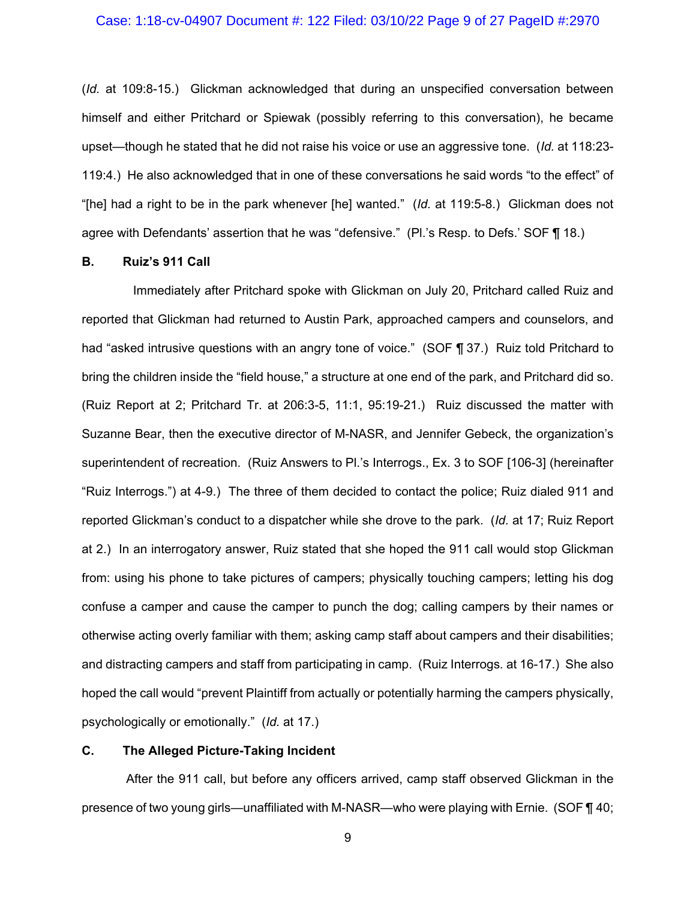#### Case: 1:18-cv-04907 Document #: 122 Filed: 03/10/22 Page 9 of 27 PageID #:2970

(*Id.* at 109:8-15.) Glickman acknowledged that during an unspecified conversation between himself and either Pritchard or Spiewak (possibly referring to this conversation), he became upset—though he stated that he did not raise his voice or use an aggressive tone. (*Id.* at 118:23- 119:4.) He also acknowledged that in one of these conversations he said words "to the effect" of "[he] had a right to be in the park whenever [he] wanted." (*Id.* at 119:5-8.) Glickman does not agree with Defendants' assertion that he was "defensive." (Pl.'s Resp. to Defs.' SOF ¶ 18.)

#### **B. Ruiz's 911 Call**

 Immediately after Pritchard spoke with Glickman on July 20, Pritchard called Ruiz and reported that Glickman had returned to Austin Park, approached campers and counselors, and had "asked intrusive questions with an angry tone of voice." (SOF ¶ 37.) Ruiz told Pritchard to bring the children inside the "field house," a structure at one end of the park, and Pritchard did so. (Ruiz Report at 2; Pritchard Tr. at 206:3-5, 11:1, 95:19-21.) Ruiz discussed the matter with Suzanne Bear, then the executive director of M-NASR, and Jennifer Gebeck, the organization's superintendent of recreation. (Ruiz Answers to Pl.'s Interrogs., Ex. 3 to SOF [106-3] (hereinafter "Ruiz Interrogs.") at 4-9.) The three of them decided to contact the police; Ruiz dialed 911 and reported Glickman's conduct to a dispatcher while she drove to the park. (*Id.* at 17; Ruiz Report at 2.) In an interrogatory answer, Ruiz stated that she hoped the 911 call would stop Glickman from: using his phone to take pictures of campers; physically touching campers; letting his dog confuse a camper and cause the camper to punch the dog; calling campers by their names or otherwise acting overly familiar with them; asking camp staff about campers and their disabilities; and distracting campers and staff from participating in camp. (Ruiz Interrogs*.* at 16-17.) She also hoped the call would "prevent Plaintiff from actually or potentially harming the campers physically, psychologically or emotionally." (*Id.* at 17.)

# **C. The Alleged Picture-Taking Incident**

After the 911 call, but before any officers arrived, camp staff observed Glickman in the presence of two young girls—unaffiliated with M-NASR—who were playing with Ernie. (SOF ¶ 40;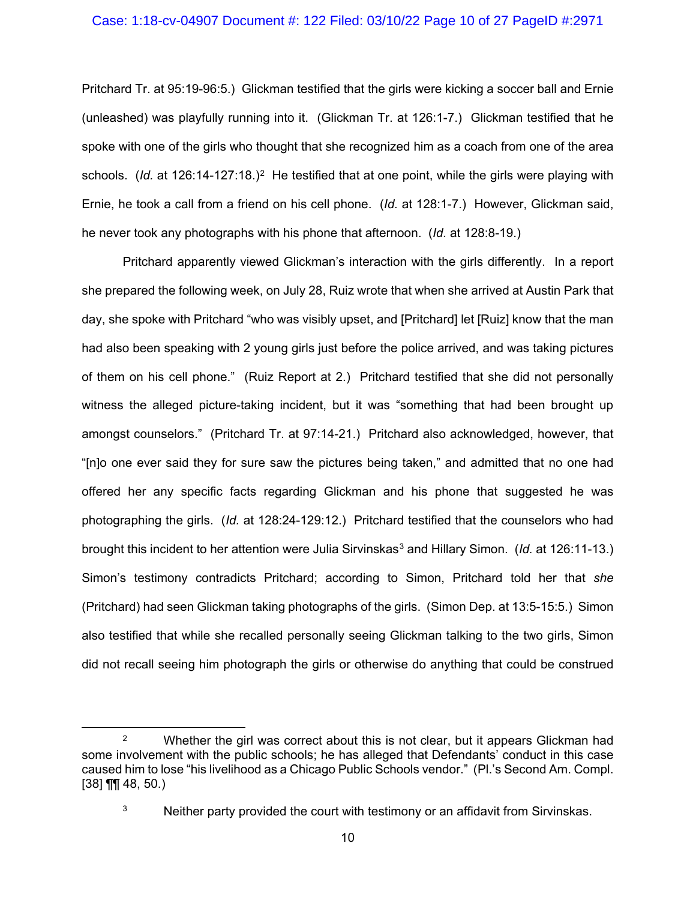### Case: 1:18-cv-04907 Document #: 122 Filed: 03/10/22 Page 10 of 27 PageID #:2971

Pritchard Tr. at 95:19-96:5.) Glickman testified that the girls were kicking a soccer ball and Ernie (unleashed) was playfully running into it. (Glickman Tr. at 126:1-7.) Glickman testified that he spoke with one of the girls who thought that she recognized him as a coach from one of the area schools. (*Id.* at 126:14-127:18.)<sup>2</sup> He testified that at one point, while the girls were playing with Ernie, he took a call from a friend on his cell phone. (*Id.* at 128:1-7.) However, Glickman said, he never took any photographs with his phone that afternoon. (*Id.* at 128:8-19.)

Pritchard apparently viewed Glickman's interaction with the girls differently. In a report she prepared the following week, on July 28, Ruiz wrote that when she arrived at Austin Park that day, she spoke with Pritchard "who was visibly upset, and [Pritchard] let [Ruiz] know that the man had also been speaking with 2 young girls just before the police arrived, and was taking pictures of them on his cell phone." (Ruiz Report at 2.) Pritchard testified that she did not personally witness the alleged picture-taking incident, but it was "something that had been brought up amongst counselors." (Pritchard Tr. at 97:14-21.) Pritchard also acknowledged, however, that "[n]o one ever said they for sure saw the pictures being taken," and admitted that no one had offered her any specific facts regarding Glickman and his phone that suggested he was photographing the girls. (*Id.* at 128:24-129:12.) Pritchard testified that the counselors who had brought this incident to her attention were Julia Sirvinskas<sup>[3](#page-9-1)</sup> and Hillary Simon. (*Id.* at 126:11-13.) Simon's testimony contradicts Pritchard; according to Simon, Pritchard told her that *she* (Pritchard) had seen Glickman taking photographs of the girls. (Simon Dep. at 13:5-15:5.) Simon also testified that while she recalled personally seeing Glickman talking to the two girls, Simon did not recall seeing him photograph the girls or otherwise do anything that could be construed

<span id="page-9-1"></span><span id="page-9-0"></span><sup>&</sup>lt;sup>2</sup> Whether the girl was correct about this is not clear, but it appears Glickman had some involvement with the public schools; he has alleged that Defendants' conduct in this case caused him to lose "his livelihood as a Chicago Public Schools vendor." (Pl.'s Second Am. Compl.  $[38]$  ¶¶ 48, 50.)

 $3$  Neither party provided the court with testimony or an affidavit from Sirvinskas.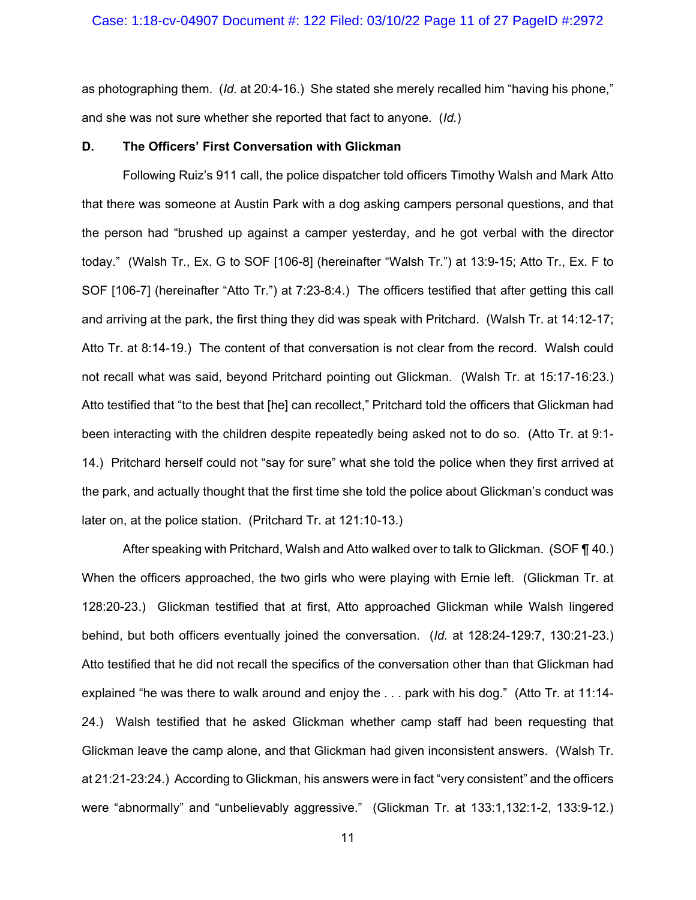as photographing them. (*Id.* at 20:4-16.) She stated she merely recalled him "having his phone," and she was not sure whether she reported that fact to anyone. (*Id.*)

#### **D. The Officers' First Conversation with Glickman**

Following Ruiz's 911 call, the police dispatcher told officers Timothy Walsh and Mark Atto that there was someone at Austin Park with a dog asking campers personal questions, and that the person had "brushed up against a camper yesterday, and he got verbal with the director today." (Walsh Tr., Ex. G to SOF [106-8] (hereinafter "Walsh Tr.") at 13:9-15; Atto Tr., Ex. F to SOF [106-7] (hereinafter "Atto Tr.") at 7:23-8:4.) The officers testified that after getting this call and arriving at the park, the first thing they did was speak with Pritchard. (Walsh Tr. at 14:12-17; Atto Tr. at 8:14-19.) The content of that conversation is not clear from the record. Walsh could not recall what was said, beyond Pritchard pointing out Glickman. (Walsh Tr. at 15:17-16:23.) Atto testified that "to the best that [he] can recollect," Pritchard told the officers that Glickman had been interacting with the children despite repeatedly being asked not to do so. (Atto Tr. at 9:1- 14.) Pritchard herself could not "say for sure" what she told the police when they first arrived at the park, and actually thought that the first time she told the police about Glickman's conduct was later on, at the police station. (Pritchard Tr. at 121:10-13.)

After speaking with Pritchard, Walsh and Atto walked over to talk to Glickman. (SOF ¶ 40.) When the officers approached, the two girls who were playing with Ernie left. (Glickman Tr. at 128:20-23.) Glickman testified that at first, Atto approached Glickman while Walsh lingered behind, but both officers eventually joined the conversation. (*Id.* at 128:24-129:7, 130:21-23.) Atto testified that he did not recall the specifics of the conversation other than that Glickman had explained "he was there to walk around and enjoy the . . . park with his dog." (Atto Tr. at 11:14- 24.) Walsh testified that he asked Glickman whether camp staff had been requesting that Glickman leave the camp alone, and that Glickman had given inconsistent answers. (Walsh Tr. at 21:21-23:24.) According to Glickman, his answers were in fact "very consistent" and the officers were "abnormally" and "unbelievably aggressive." (Glickman Tr. at 133:1,132:1-2, 133:9-12.)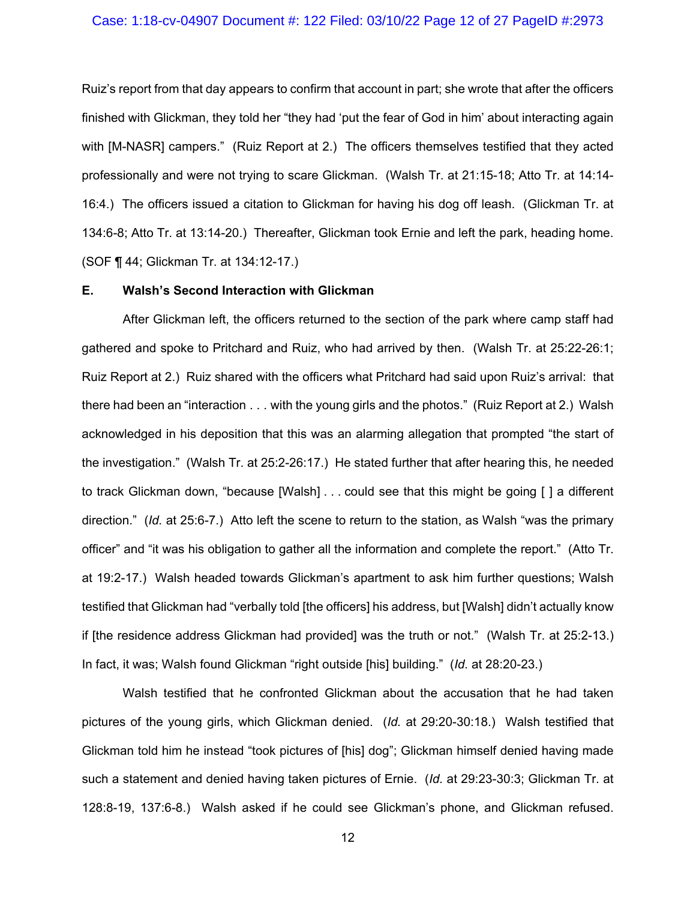### Case: 1:18-cv-04907 Document #: 122 Filed: 03/10/22 Page 12 of 27 PageID #:2973

Ruiz's report from that day appears to confirm that account in part; she wrote that after the officers finished with Glickman, they told her "they had 'put the fear of God in him' about interacting again with [M-NASR] campers." (Ruiz Report at 2.) The officers themselves testified that they acted professionally and were not trying to scare Glickman. (Walsh Tr. at 21:15-18; Atto Tr. at 14:14- 16:4.) The officers issued a citation to Glickman for having his dog off leash. (Glickman Tr. at 134:6-8; Atto Tr. at 13:14-20.) Thereafter, Glickman took Ernie and left the park, heading home. (SOF ¶ 44; Glickman Tr. at 134:12-17.)

#### **E. Walsh's Second Interaction with Glickman**

After Glickman left, the officers returned to the section of the park where camp staff had gathered and spoke to Pritchard and Ruiz, who had arrived by then. (Walsh Tr. at 25:22-26:1; Ruiz Report at 2.) Ruiz shared with the officers what Pritchard had said upon Ruiz's arrival: that there had been an "interaction . . . with the young girls and the photos." (Ruiz Report at 2.) Walsh acknowledged in his deposition that this was an alarming allegation that prompted "the start of the investigation." (Walsh Tr. at 25:2-26:17.) He stated further that after hearing this, he needed to track Glickman down, "because [Walsh] . . . could see that this might be going [ ] a different direction." (*Id.* at 25:6-7.) Atto left the scene to return to the station, as Walsh "was the primary officer" and "it was his obligation to gather all the information and complete the report." (Atto Tr. at 19:2-17.) Walsh headed towards Glickman's apartment to ask him further questions; Walsh testified that Glickman had "verbally told [the officers] his address, but [Walsh] didn't actually know if [the residence address Glickman had provided] was the truth or not." (Walsh Tr. at 25:2-13.) In fact, it was; Walsh found Glickman "right outside [his] building." (*Id.* at 28:20-23.)

Walsh testified that he confronted Glickman about the accusation that he had taken pictures of the young girls, which Glickman denied. (*Id.* at 29:20-30:18.) Walsh testified that Glickman told him he instead "took pictures of [his] dog"; Glickman himself denied having made such a statement and denied having taken pictures of Ernie. (*Id.* at 29:23-30:3; Glickman Tr. at 128:8-19, 137:6-8.) Walsh asked if he could see Glickman's phone, and Glickman refused.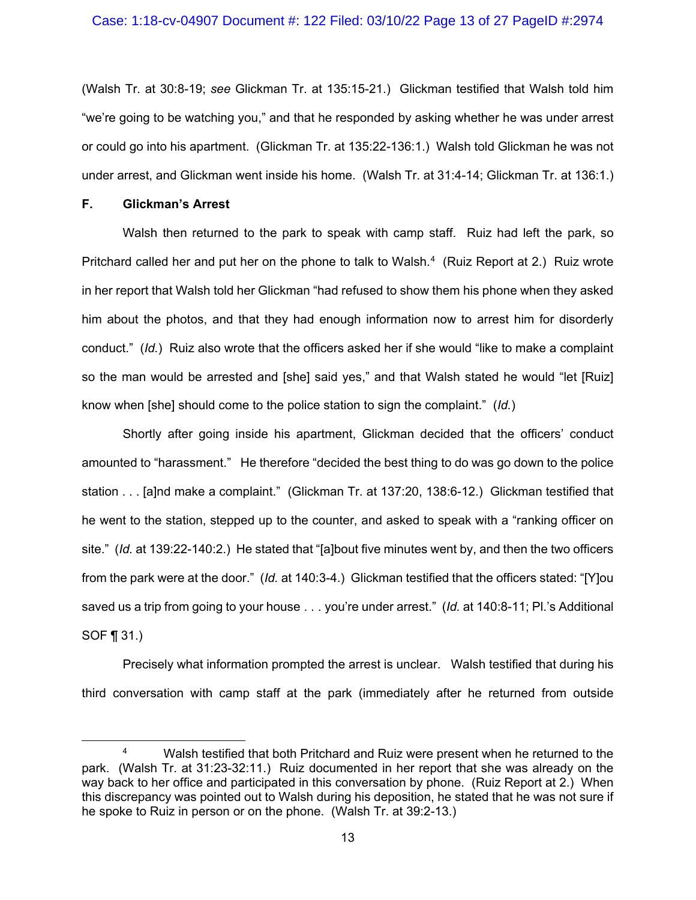#### Case: 1:18-cv-04907 Document #: 122 Filed: 03/10/22 Page 13 of 27 PageID #:2974

(Walsh Tr. at 30:8-19; *see* Glickman Tr. at 135:15-21.) Glickman testified that Walsh told him "we're going to be watching you," and that he responded by asking whether he was under arrest or could go into his apartment. (Glickman Tr. at 135:22-136:1.) Walsh told Glickman he was not under arrest, and Glickman went inside his home. (Walsh Tr. at 31:4-14; Glickman Tr. at 136:1.)

#### **F. Glickman's Arrest**

Walsh then returned to the park to speak with camp staff. Ruiz had left the park, so Pritchard called her and put her on the phone to talk to Walsh.<sup>4</sup> (Ruiz Report at 2.) Ruiz wrote in her report that Walsh told her Glickman "had refused to show them his phone when they asked him about the photos, and that they had enough information now to arrest him for disorderly conduct." (*Id.*) Ruiz also wrote that the officers asked her if she would "like to make a complaint so the man would be arrested and [she] said yes," and that Walsh stated he would "let [Ruiz] know when [she] should come to the police station to sign the complaint." (*Id.*)

Shortly after going inside his apartment, Glickman decided that the officers' conduct amounted to "harassment." He therefore "decided the best thing to do was go down to the police station . . . [a]nd make a complaint." (Glickman Tr. at 137:20, 138:6-12.) Glickman testified that he went to the station, stepped up to the counter, and asked to speak with a "ranking officer on site." (*Id.* at 139:22-140:2.) He stated that "[a]bout five minutes went by, and then the two officers from the park were at the door." (*Id.* at 140:3-4.) Glickman testified that the officers stated: "[Y]ou saved us a trip from going to your house . . . you're under arrest." (*Id.* at 140:8-11; Pl.'s Additional SOF ¶ 31.)

Precisely what information prompted the arrest is unclear. Walsh testified that during his third conversation with camp staff at the park (immediately after he returned from outside

<span id="page-12-0"></span><sup>4</sup> Walsh testified that both Pritchard and Ruiz were present when he returned to the park. (Walsh Tr. at 31:23-32:11.) Ruiz documented in her report that she was already on the way back to her office and participated in this conversation by phone. (Ruiz Report at 2.) When this discrepancy was pointed out to Walsh during his deposition, he stated that he was not sure if he spoke to Ruiz in person or on the phone. (Walsh Tr. at 39:2-13.)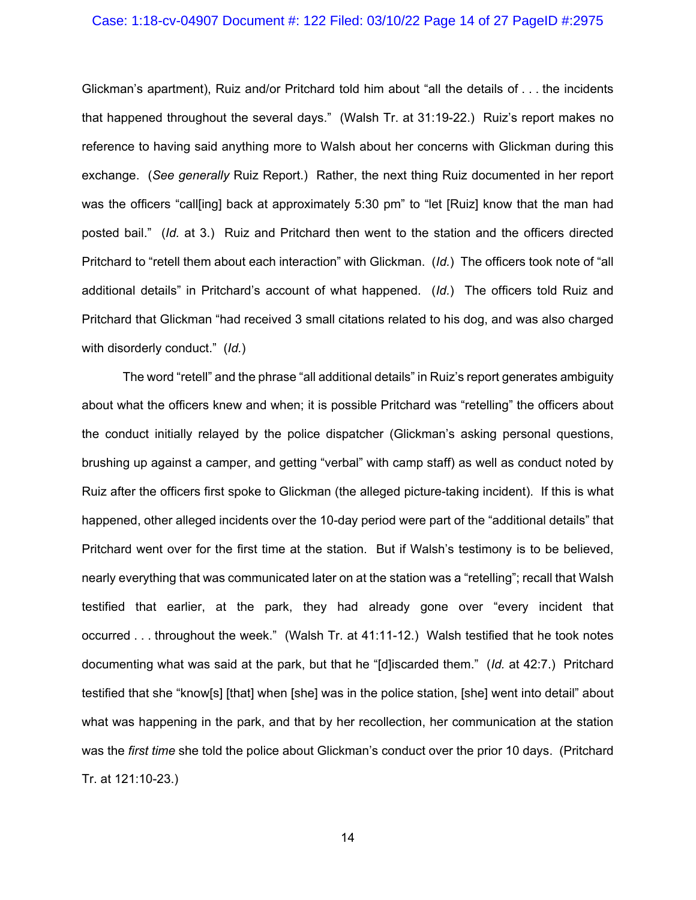## Case: 1:18-cv-04907 Document #: 122 Filed: 03/10/22 Page 14 of 27 PageID #:2975

Glickman's apartment), Ruiz and/or Pritchard told him about "all the details of . . . the incidents that happened throughout the several days." (Walsh Tr. at 31:19-22.) Ruiz's report makes no reference to having said anything more to Walsh about her concerns with Glickman during this exchange. (*See generally* Ruiz Report.) Rather, the next thing Ruiz documented in her report was the officers "call[ing] back at approximately 5:30 pm" to "let [Ruiz] know that the man had posted bail." (*Id.* at 3.) Ruiz and Pritchard then went to the station and the officers directed Pritchard to "retell them about each interaction" with Glickman. (*Id.*) The officers took note of "all additional details" in Pritchard's account of what happened. (*Id.*) The officers told Ruiz and Pritchard that Glickman "had received 3 small citations related to his dog, and was also charged with disorderly conduct." (*Id.*)

The word "retell" and the phrase "all additional details" in Ruiz's report generates ambiguity about what the officers knew and when; it is possible Pritchard was "retelling" the officers about the conduct initially relayed by the police dispatcher (Glickman's asking personal questions, brushing up against a camper, and getting "verbal" with camp staff) as well as conduct noted by Ruiz after the officers first spoke to Glickman (the alleged picture-taking incident). If this is what happened, other alleged incidents over the 10-day period were part of the "additional details" that Pritchard went over for the first time at the station. But if Walsh's testimony is to be believed, nearly everything that was communicated later on at the station was a "retelling"; recall that Walsh testified that earlier, at the park, they had already gone over "every incident that occurred . . . throughout the week." (Walsh Tr. at 41:11-12.) Walsh testified that he took notes documenting what was said at the park, but that he "[d]iscarded them." (*Id.* at 42:7.) Pritchard testified that she "know[s] [that] when [she] was in the police station, [she] went into detail" about what was happening in the park, and that by her recollection, her communication at the station was the *first time* she told the police about Glickman's conduct over the prior 10 days. (Pritchard Tr. at 121:10-23.)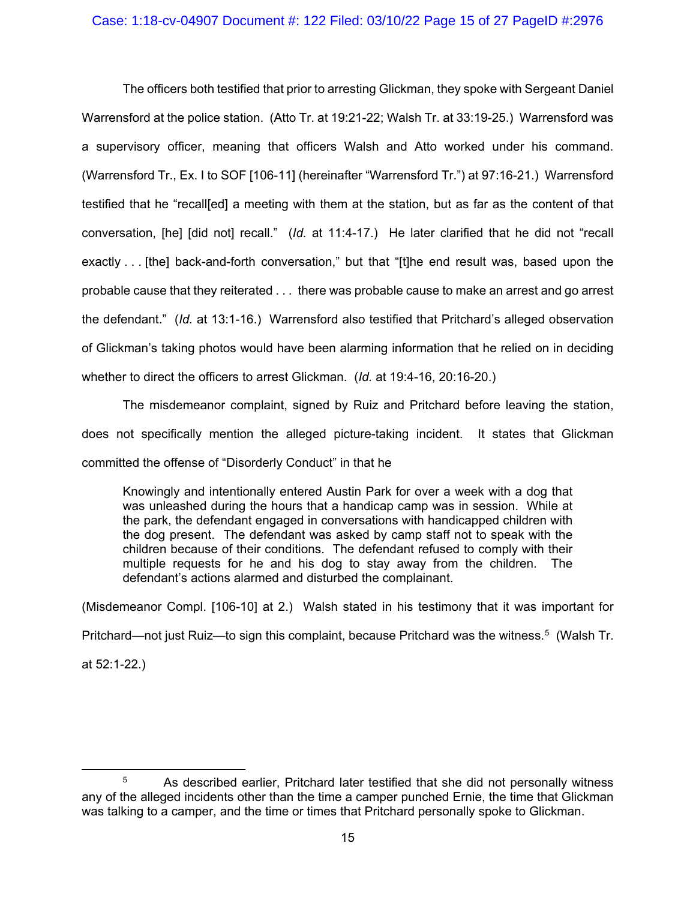## Case: 1:18-cv-04907 Document #: 122 Filed: 03/10/22 Page 15 of 27 PageID #:2976

The officers both testified that prior to arresting Glickman, they spoke with Sergeant Daniel Warrensford at the police station. (Atto Tr. at 19:21-22; Walsh Tr. at 33:19-25.) Warrensford was a supervisory officer, meaning that officers Walsh and Atto worked under his command. (Warrensford Tr., Ex. I to SOF [106-11] (hereinafter "Warrensford Tr.") at 97:16-21.) Warrensford testified that he "recall[ed] a meeting with them at the station, but as far as the content of that conversation, [he] [did not] recall." (*Id.* at 11:4-17.) He later clarified that he did not "recall exactly . . . [the] back-and-forth conversation," but that "[t]he end result was, based upon the probable cause that they reiterated . . . there was probable cause to make an arrest and go arrest the defendant." (*Id.* at 13:1-16.) Warrensford also testified that Pritchard's alleged observation of Glickman's taking photos would have been alarming information that he relied on in deciding whether to direct the officers to arrest Glickman. (*Id.* at 19:4-16, 20:16-20.)

The misdemeanor complaint, signed by Ruiz and Pritchard before leaving the station, does not specifically mention the alleged picture-taking incident. It states that Glickman committed the offense of "Disorderly Conduct" in that he

Knowingly and intentionally entered Austin Park for over a week with a dog that was unleashed during the hours that a handicap camp was in session. While at the park, the defendant engaged in conversations with handicapped children with the dog present. The defendant was asked by camp staff not to speak with the children because of their conditions. The defendant refused to comply with their multiple requests for he and his dog to stay away from the children. The defendant's actions alarmed and disturbed the complainant.

(Misdemeanor Compl. [106-10] at 2.) Walsh stated in his testimony that it was important for Pritchard—not just Ruiz—to sign this complaint, because Pritchard was the witness.<sup>5</sup> (Walsh Tr. at 52:1-22.)

<span id="page-14-0"></span> $5$  As described earlier. Pritchard later testified that she did not personally witness any of the alleged incidents other than the time a camper punched Ernie, the time that Glickman was talking to a camper, and the time or times that Pritchard personally spoke to Glickman.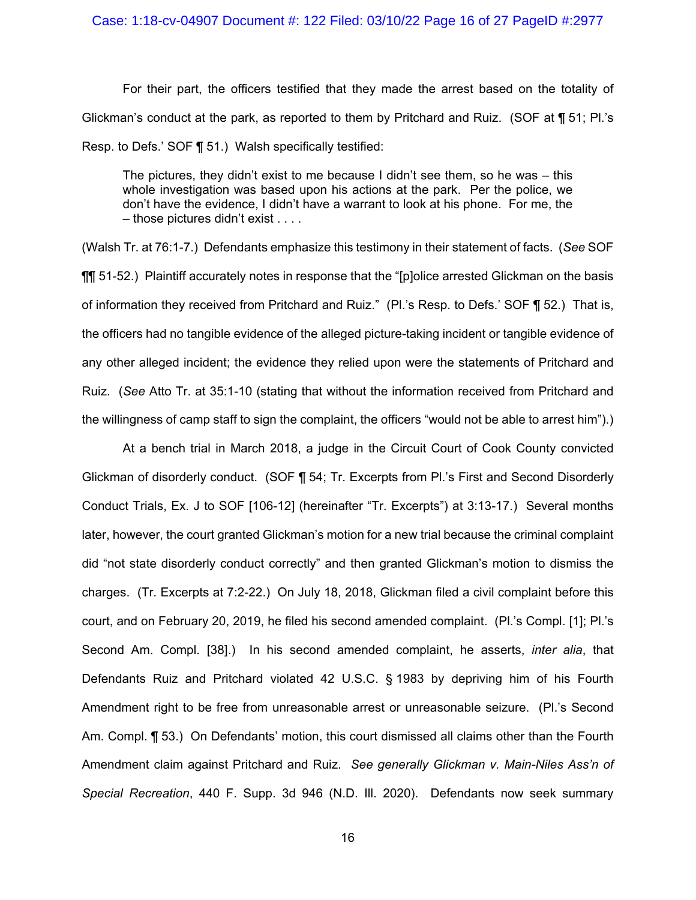For their part, the officers testified that they made the arrest based on the totality of Glickman's conduct at the park, as reported to them by Pritchard and Ruiz. (SOF at ¶ 51; Pl.'s Resp. to Defs.' SOF ¶ 51.) Walsh specifically testified:

The pictures, they didn't exist to me because I didn't see them, so he was  $-$  this whole investigation was based upon his actions at the park. Per the police, we don't have the evidence, I didn't have a warrant to look at his phone. For me, the – those pictures didn't exist . . . .

(Walsh Tr. at 76:1-7.) Defendants emphasize this testimony in their statement of facts. (*See* SOF ¶¶ 51-52.) Plaintiff accurately notes in response that the "[p]olice arrested Glickman on the basis of information they received from Pritchard and Ruiz." (Pl.'s Resp. to Defs.' SOF ¶ 52.) That is, the officers had no tangible evidence of the alleged picture-taking incident or tangible evidence of any other alleged incident; the evidence they relied upon were the statements of Pritchard and Ruiz. (*See* Atto Tr. at 35:1-10 (stating that without the information received from Pritchard and the willingness of camp staff to sign the complaint, the officers "would not be able to arrest him").)

At a bench trial in March 2018, a judge in the Circuit Court of Cook County convicted Glickman of disorderly conduct. (SOF ¶ 54; Tr. Excerpts from Pl.'s First and Second Disorderly Conduct Trials, Ex. J to SOF [106-12] (hereinafter "Tr. Excerpts") at 3:13-17.) Several months later, however, the court granted Glickman's motion for a new trial because the criminal complaint did "not state disorderly conduct correctly" and then granted Glickman's motion to dismiss the charges. (Tr. Excerpts at 7:2-22.) On July 18, 2018, Glickman filed a civil complaint before this court, and on February 20, 2019, he filed his second amended complaint. (Pl.'s Compl. [1]; Pl.'s Second Am. Compl. [38].) In his second amended complaint, he asserts, *inter alia*, that Defendants Ruiz and Pritchard violated 42 U.S.C. § 1983 by depriving him of his Fourth Amendment right to be free from unreasonable arrest or unreasonable seizure. (Pl.'s Second Am. Compl. ¶ 53.) On Defendants' motion, this court dismissed all claims other than the Fourth Amendment claim against Pritchard and Ruiz. *See generally Glickman v. Main-Niles Ass'n of Special Recreation*, 440 F. Supp. 3d 946 (N.D. Ill. 2020). Defendants now seek summary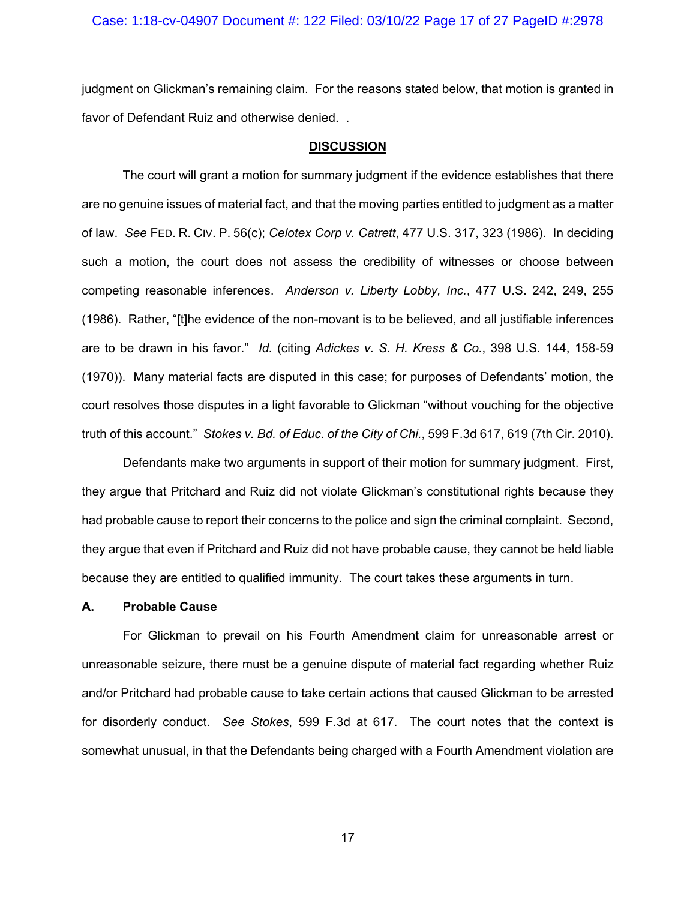## Case: 1:18-cv-04907 Document #: 122 Filed: 03/10/22 Page 17 of 27 PageID #:2978

judgment on Glickman's remaining claim. For the reasons stated below, that motion is granted in favor of Defendant Ruiz and otherwise denied. .

#### **DISCUSSION**

The court will grant a motion for summary judgment if the evidence establishes that there are no genuine issues of material fact, and that the moving parties entitled to judgment as a matter of law. *See* FED. R. CIV. P. 56(c); *Celotex Corp v. Catrett*, 477 U.S. 317, 323 (1986). In deciding such a motion, the court does not assess the credibility of witnesses or choose between competing reasonable inferences. *Anderson v. Liberty Lobby, Inc.*, 477 U.S. 242, 249, 255 (1986). Rather, "[t]he evidence of the non-movant is to be believed, and all justifiable inferences are to be drawn in his favor." *Id.* (citing *Adickes v. S. H. Kress & Co.*, 398 U.S. 144, 158-59 (1970)). Many material facts are disputed in this case; for purposes of Defendants' motion, the court resolves those disputes in a light favorable to Glickman "without vouching for the objective truth of this account." *Stokes v. Bd. of Educ. of the City of Chi.*, 599 F.3d 617, 619 (7th Cir. 2010).

Defendants make two arguments in support of their motion for summary judgment. First, they argue that Pritchard and Ruiz did not violate Glickman's constitutional rights because they had probable cause to report their concerns to the police and sign the criminal complaint. Second, they argue that even if Pritchard and Ruiz did not have probable cause, they cannot be held liable because they are entitled to qualified immunity. The court takes these arguments in turn.

## **A. Probable Cause**

For Glickman to prevail on his Fourth Amendment claim for unreasonable arrest or unreasonable seizure, there must be a genuine dispute of material fact regarding whether Ruiz and/or Pritchard had probable cause to take certain actions that caused Glickman to be arrested for disorderly conduct. *See Stokes*, 599 F.3d at 617. The court notes that the context is somewhat unusual, in that the Defendants being charged with a Fourth Amendment violation are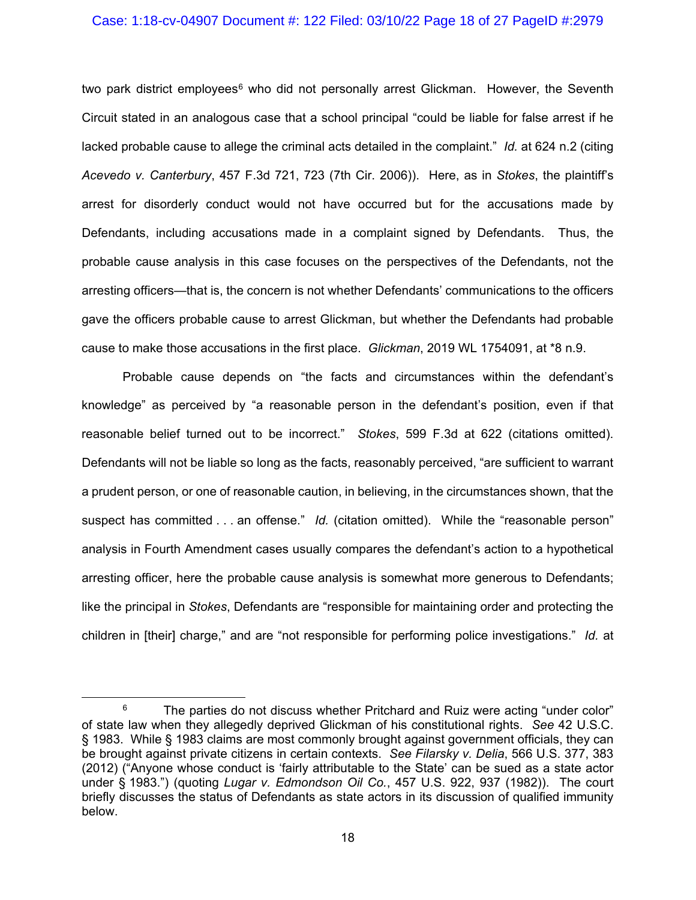#### Case: 1:18-cv-04907 Document #: 122 Filed: 03/10/22 Page 18 of 27 PageID #:2979

two park district employees<sup>[6](#page-17-0)</sup> who did not personally arrest Glickman. However, the Seventh Circuit stated in an analogous case that a school principal "could be liable for false arrest if he lacked probable cause to allege the criminal acts detailed in the complaint." *Id.* at 624 n.2 (citing *Acevedo v. Canterbury*, 457 F.3d 721, 723 (7th Cir. 2006)). Here, as in *Stokes*, the plaintiff's arrest for disorderly conduct would not have occurred but for the accusations made by Defendants, including accusations made in a complaint signed by Defendants. Thus, the probable cause analysis in this case focuses on the perspectives of the Defendants, not the arresting officers—that is, the concern is not whether Defendants' communications to the officers gave the officers probable cause to arrest Glickman, but whether the Defendants had probable cause to make those accusations in the first place. *Glickman*, 2019 WL 1754091, at \*8 n.9.

Probable cause depends on "the facts and circumstances within the defendant's knowledge" as perceived by "a reasonable person in the defendant's position, even if that reasonable belief turned out to be incorrect." *Stokes*, 599 F.3d at 622 (citations omitted). Defendants will not be liable so long as the facts, reasonably perceived, "are sufficient to warrant a prudent person, or one of reasonable caution, in believing, in the circumstances shown, that the suspect has committed . . . an offense." *Id.* (citation omitted). While the "reasonable person" analysis in Fourth Amendment cases usually compares the defendant's action to a hypothetical arresting officer, here the probable cause analysis is somewhat more generous to Defendants; like the principal in *Stokes*, Defendants are "responsible for maintaining order and protecting the children in [their] charge," and are "not responsible for performing police investigations." *Id.* at

<span id="page-17-0"></span> $6$  The parties do not discuss whether Pritchard and Ruiz were acting "under color" of state law when they allegedly deprived Glickman of his constitutional rights. *See* 42 U.S.C. § 1983. While § 1983 claims are most commonly brought against government officials, they can be brought against private citizens in certain contexts. *See Filarsky v. Delia*, 566 U.S. 377, 383 (2012) ("Anyone whose conduct is 'fairly attributable to the State' can be sued as a state actor under § 1983.") (quoting *Lugar v. Edmondson Oil Co.*, 457 U.S. 922, 937 (1982)). The court briefly discusses the status of Defendants as state actors in its discussion of qualified immunity below.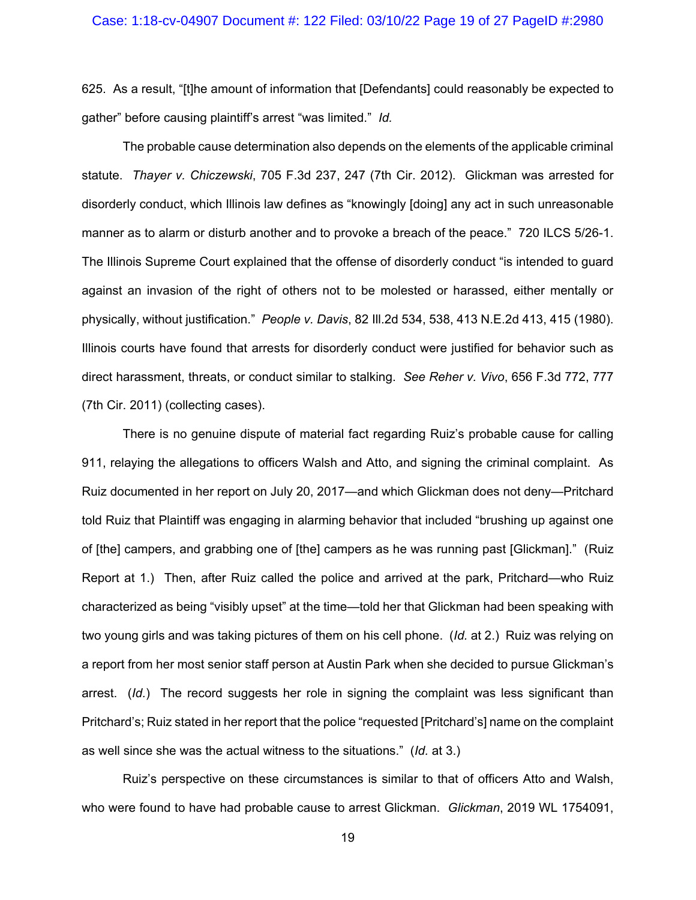## Case: 1:18-cv-04907 Document #: 122 Filed: 03/10/22 Page 19 of 27 PageID #:2980

625. As a result, "[t]he amount of information that [Defendants] could reasonably be expected to gather" before causing plaintiff's arrest "was limited." *Id.*

The probable cause determination also depends on the elements of the applicable criminal statute. *Thayer v. Chiczewski*, 705 F.3d 237, 247 (7th Cir. 2012). Glickman was arrested for disorderly conduct, which Illinois law defines as "knowingly [doing] any act in such unreasonable manner as to alarm or disturb another and to provoke a breach of the peace." 720 ILCS 5/26-1. The Illinois Supreme Court explained that the offense of disorderly conduct "is intended to guard against an invasion of the right of others not to be molested or harassed, either mentally or physically, without justification." *People v. Davis*, 82 Ill.2d 534, 538, 413 N.E.2d 413, 415 (1980). Illinois courts have found that arrests for disorderly conduct were justified for behavior such as direct harassment, threats, or conduct similar to stalking. *See Reher v. Vivo*, 656 F.3d 772, 777 (7th Cir. 2011) (collecting cases).

There is no genuine dispute of material fact regarding Ruiz's probable cause for calling 911, relaying the allegations to officers Walsh and Atto, and signing the criminal complaint. As Ruiz documented in her report on July 20, 2017—and which Glickman does not deny—Pritchard told Ruiz that Plaintiff was engaging in alarming behavior that included "brushing up against one of [the] campers, and grabbing one of [the] campers as he was running past [Glickman]." (Ruiz Report at 1.) Then, after Ruiz called the police and arrived at the park, Pritchard—who Ruiz characterized as being "visibly upset" at the time—told her that Glickman had been speaking with two young girls and was taking pictures of them on his cell phone. (*Id.* at 2.) Ruiz was relying on a report from her most senior staff person at Austin Park when she decided to pursue Glickman's arrest. (*Id.*) The record suggests her role in signing the complaint was less significant than Pritchard's; Ruiz stated in her report that the police "requested [Pritchard's] name on the complaint as well since she was the actual witness to the situations." (*Id.* at 3.)

Ruiz's perspective on these circumstances is similar to that of officers Atto and Walsh, who were found to have had probable cause to arrest Glickman. *Glickman*, 2019 WL 1754091,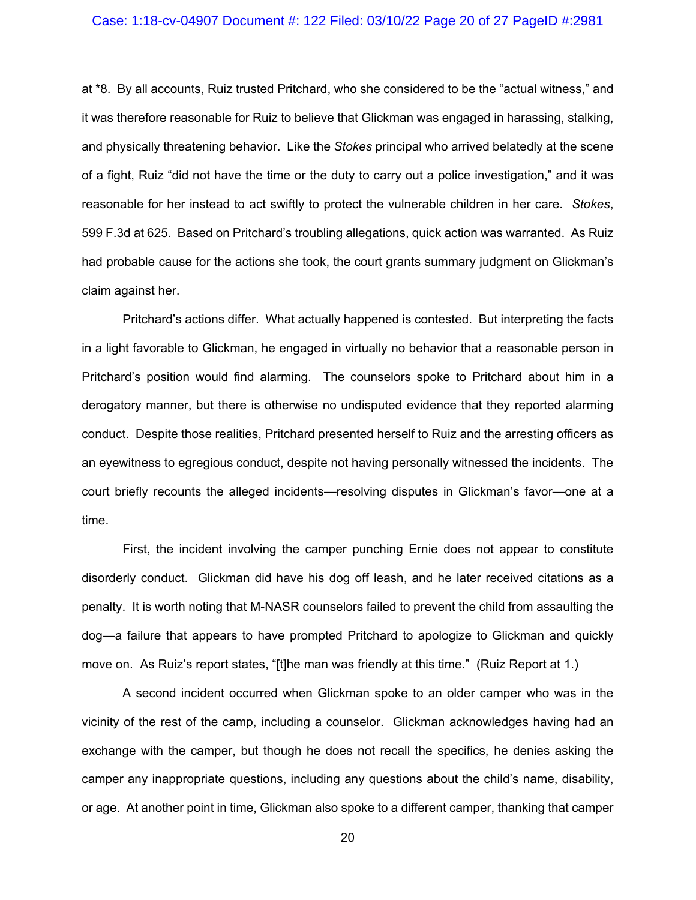## Case: 1:18-cv-04907 Document #: 122 Filed: 03/10/22 Page 20 of 27 PageID #:2981

at \*8. By all accounts, Ruiz trusted Pritchard, who she considered to be the "actual witness," and it was therefore reasonable for Ruiz to believe that Glickman was engaged in harassing, stalking, and physically threatening behavior. Like the *Stokes* principal who arrived belatedly at the scene of a fight, Ruiz "did not have the time or the duty to carry out a police investigation," and it was reasonable for her instead to act swiftly to protect the vulnerable children in her care. *Stokes*, 599 F.3d at 625. Based on Pritchard's troubling allegations, quick action was warranted. As Ruiz had probable cause for the actions she took, the court grants summary judgment on Glickman's claim against her.

Pritchard's actions differ. What actually happened is contested. But interpreting the facts in a light favorable to Glickman, he engaged in virtually no behavior that a reasonable person in Pritchard's position would find alarming. The counselors spoke to Pritchard about him in a derogatory manner, but there is otherwise no undisputed evidence that they reported alarming conduct. Despite those realities, Pritchard presented herself to Ruiz and the arresting officers as an eyewitness to egregious conduct, despite not having personally witnessed the incidents. The court briefly recounts the alleged incidents—resolving disputes in Glickman's favor—one at a time.

First, the incident involving the camper punching Ernie does not appear to constitute disorderly conduct. Glickman did have his dog off leash, and he later received citations as a penalty. It is worth noting that M-NASR counselors failed to prevent the child from assaulting the dog—a failure that appears to have prompted Pritchard to apologize to Glickman and quickly move on. As Ruiz's report states, "[t]he man was friendly at this time." (Ruiz Report at 1.)

A second incident occurred when Glickman spoke to an older camper who was in the vicinity of the rest of the camp, including a counselor. Glickman acknowledges having had an exchange with the camper, but though he does not recall the specifics, he denies asking the camper any inappropriate questions, including any questions about the child's name, disability, or age. At another point in time, Glickman also spoke to a different camper, thanking that camper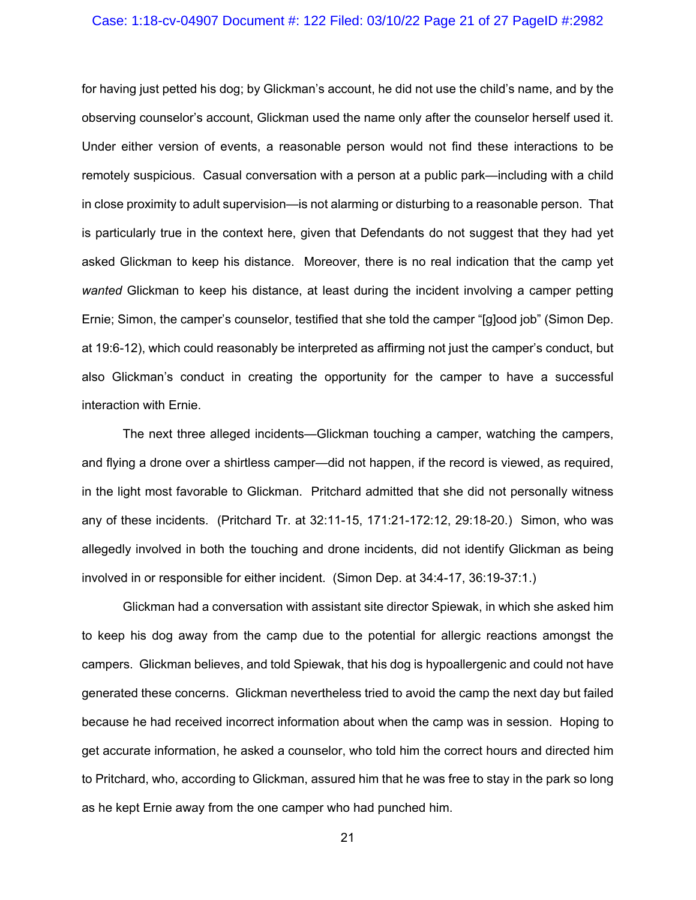## Case: 1:18-cv-04907 Document #: 122 Filed: 03/10/22 Page 21 of 27 PageID #:2982

for having just petted his dog; by Glickman's account, he did not use the child's name, and by the observing counselor's account, Glickman used the name only after the counselor herself used it. Under either version of events, a reasonable person would not find these interactions to be remotely suspicious. Casual conversation with a person at a public park—including with a child in close proximity to adult supervision—is not alarming or disturbing to a reasonable person. That is particularly true in the context here, given that Defendants do not suggest that they had yet asked Glickman to keep his distance. Moreover, there is no real indication that the camp yet *wanted* Glickman to keep his distance, at least during the incident involving a camper petting Ernie; Simon, the camper's counselor, testified that she told the camper "[g]ood job" (Simon Dep. at 19:6-12), which could reasonably be interpreted as affirming not just the camper's conduct, but also Glickman's conduct in creating the opportunity for the camper to have a successful interaction with Ernie.

The next three alleged incidents—Glickman touching a camper, watching the campers, and flying a drone over a shirtless camper—did not happen, if the record is viewed, as required, in the light most favorable to Glickman. Pritchard admitted that she did not personally witness any of these incidents. (Pritchard Tr. at 32:11-15, 171:21-172:12, 29:18-20.) Simon, who was allegedly involved in both the touching and drone incidents, did not identify Glickman as being involved in or responsible for either incident. (Simon Dep. at 34:4-17, 36:19-37:1.)

Glickman had a conversation with assistant site director Spiewak, in which she asked him to keep his dog away from the camp due to the potential for allergic reactions amongst the campers. Glickman believes, and told Spiewak, that his dog is hypoallergenic and could not have generated these concerns. Glickman nevertheless tried to avoid the camp the next day but failed because he had received incorrect information about when the camp was in session. Hoping to get accurate information, he asked a counselor, who told him the correct hours and directed him to Pritchard, who, according to Glickman, assured him that he was free to stay in the park so long as he kept Ernie away from the one camper who had punched him.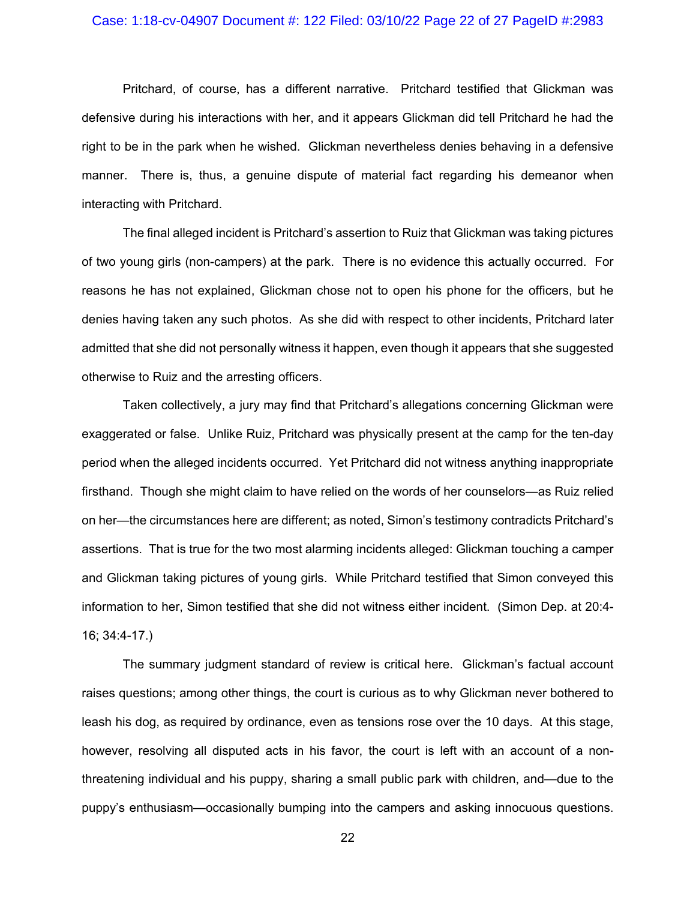## Case: 1:18-cv-04907 Document #: 122 Filed: 03/10/22 Page 22 of 27 PageID #:2983

Pritchard, of course, has a different narrative. Pritchard testified that Glickman was defensive during his interactions with her, and it appears Glickman did tell Pritchard he had the right to be in the park when he wished. Glickman nevertheless denies behaving in a defensive manner. There is, thus, a genuine dispute of material fact regarding his demeanor when interacting with Pritchard.

The final alleged incident is Pritchard's assertion to Ruiz that Glickman was taking pictures of two young girls (non-campers) at the park. There is no evidence this actually occurred. For reasons he has not explained, Glickman chose not to open his phone for the officers, but he denies having taken any such photos. As she did with respect to other incidents, Pritchard later admitted that she did not personally witness it happen, even though it appears that she suggested otherwise to Ruiz and the arresting officers.

Taken collectively, a jury may find that Pritchard's allegations concerning Glickman were exaggerated or false. Unlike Ruiz, Pritchard was physically present at the camp for the ten-day period when the alleged incidents occurred. Yet Pritchard did not witness anything inappropriate firsthand. Though she might claim to have relied on the words of her counselors—as Ruiz relied on her—the circumstances here are different; as noted, Simon's testimony contradicts Pritchard's assertions. That is true for the two most alarming incidents alleged: Glickman touching a camper and Glickman taking pictures of young girls. While Pritchard testified that Simon conveyed this information to her, Simon testified that she did not witness either incident. (Simon Dep. at 20:4- 16; 34:4-17.)

The summary judgment standard of review is critical here. Glickman's factual account raises questions; among other things, the court is curious as to why Glickman never bothered to leash his dog, as required by ordinance, even as tensions rose over the 10 days. At this stage, however, resolving all disputed acts in his favor, the court is left with an account of a nonthreatening individual and his puppy, sharing a small public park with children, and—due to the puppy's enthusiasm—occasionally bumping into the campers and asking innocuous questions.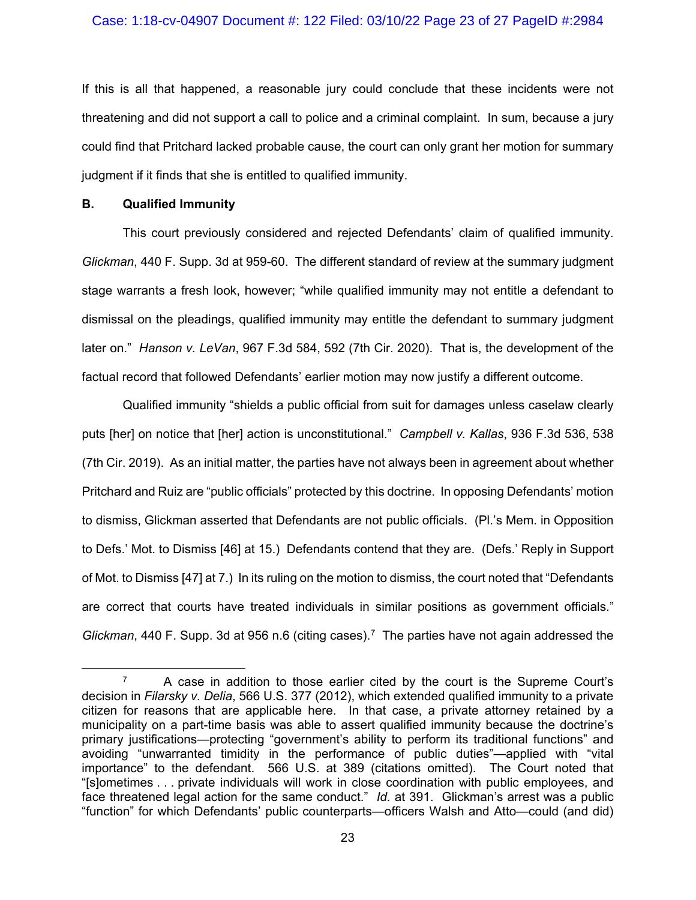### Case: 1:18-cv-04907 Document #: 122 Filed: 03/10/22 Page 23 of 27 PageID #:2984

If this is all that happened, a reasonable jury could conclude that these incidents were not threatening and did not support a call to police and a criminal complaint. In sum, because a jury could find that Pritchard lacked probable cause, the court can only grant her motion for summary judgment if it finds that she is entitled to qualified immunity.

#### **B. Qualified Immunity**

This court previously considered and rejected Defendants' claim of qualified immunity. *Glickman*, 440 F. Supp. 3d at 959-60. The different standard of review at the summary judgment stage warrants a fresh look, however; "while qualified immunity may not entitle a defendant to dismissal on the pleadings, qualified immunity may entitle the defendant to summary judgment later on." *Hanson v. LeVan*, 967 F.3d 584, 592 (7th Cir. 2020). That is, the development of the factual record that followed Defendants' earlier motion may now justify a different outcome.

Qualified immunity "shields a public official from suit for damages unless caselaw clearly puts [her] on notice that [her] action is unconstitutional." *Campbell v. Kallas*, 936 F.3d 536, 538 (7th Cir. 2019). As an initial matter, the parties have not always been in agreement about whether Pritchard and Ruiz are "public officials" protected by this doctrine. In opposing Defendants' motion to dismiss, Glickman asserted that Defendants are not public officials. (Pl.'s Mem. in Opposition to Defs.' Mot. to Dismiss [46] at 15.) Defendants contend that they are. (Defs.' Reply in Support of Mot. to Dismiss [47] at 7.) In its ruling on the motion to dismiss, the court noted that "Defendants are correct that courts have treated individuals in similar positions as government officials." *Glickman*, 440 F. Supp. 3d at 956 n.6 (citing cases). [7](#page-22-0) The parties have not again addressed the

<span id="page-22-0"></span> $7$  A case in addition to those earlier cited by the court is the Supreme Court's decision in *Filarsky v. Delia*, 566 U.S. 377 (2012), which extended qualified immunity to a private citizen for reasons that are applicable here. In that case, a private attorney retained by a municipality on a part-time basis was able to assert qualified immunity because the doctrine's primary justifications—protecting "government's ability to perform its traditional functions" and avoiding "unwarranted timidity in the performance of public duties"—applied with "vital importance" to the defendant. 566 U.S. at 389 (citations omitted). The Court noted that "[s]ometimes . . . private individuals will work in close coordination with public employees, and face threatened legal action for the same conduct." *Id.* at 391. Glickman's arrest was a public "function" for which Defendants' public counterparts—officers Walsh and Atto—could (and did)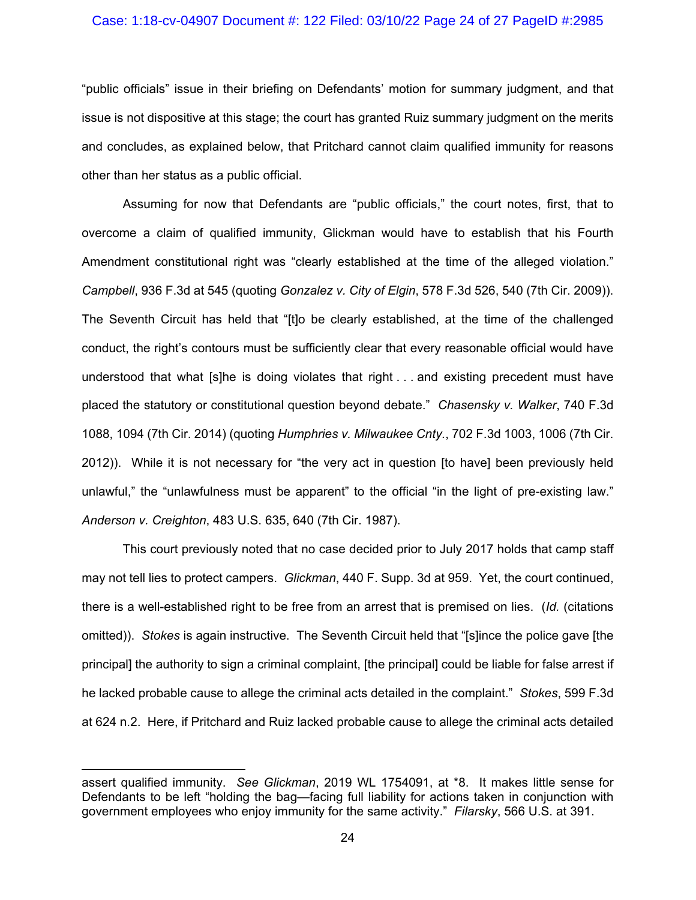#### Case: 1:18-cv-04907 Document #: 122 Filed: 03/10/22 Page 24 of 27 PageID #:2985

"public officials" issue in their briefing on Defendants' motion for summary judgment, and that issue is not dispositive at this stage; the court has granted Ruiz summary judgment on the merits and concludes, as explained below, that Pritchard cannot claim qualified immunity for reasons other than her status as a public official.

Assuming for now that Defendants are "public officials," the court notes, first, that to overcome a claim of qualified immunity, Glickman would have to establish that his Fourth Amendment constitutional right was "clearly established at the time of the alleged violation." *Campbell*, 936 F.3d at 545 (quoting *Gonzalez v. City of Elgin*, 578 F.3d 526, 540 (7th Cir. 2009)). The Seventh Circuit has held that "[t]o be clearly established, at the time of the challenged conduct, the right's contours must be sufficiently clear that every reasonable official would have understood that what [s]he is doing violates that right . . . and existing precedent must have placed the statutory or constitutional question beyond debate." *Chasensky v. Walker*, 740 F.3d 1088, 1094 (7th Cir. 2014) (quoting *Humphries v. Milwaukee Cnty.*, 702 F.3d 1003, 1006 (7th Cir. 2012)). While it is not necessary for "the very act in question [to have] been previously held unlawful," the "unlawfulness must be apparent" to the official "in the light of pre-existing law." *Anderson v. Creighton*, 483 U.S. 635, 640 (7th Cir. 1987).

This court previously noted that no case decided prior to July 2017 holds that camp staff may not tell lies to protect campers. *Glickman*, 440 F. Supp. 3d at 959. Yet, the court continued, there is a well-established right to be free from an arrest that is premised on lies. (*Id.* (citations omitted)). *Stokes* is again instructive. The Seventh Circuit held that "[s]ince the police gave [the principal] the authority to sign a criminal complaint, [the principal] could be liable for false arrest if he lacked probable cause to allege the criminal acts detailed in the complaint." *Stokes*, 599 F.3d at 624 n.2. Here, if Pritchard and Ruiz lacked probable cause to allege the criminal acts detailed

assert qualified immunity. *See Glickman*, 2019 WL 1754091, at \*8. It makes little sense for Defendants to be left "holding the bag—facing full liability for actions taken in conjunction with government employees who enjoy immunity for the same activity." *Filarsky*, 566 U.S. at 391.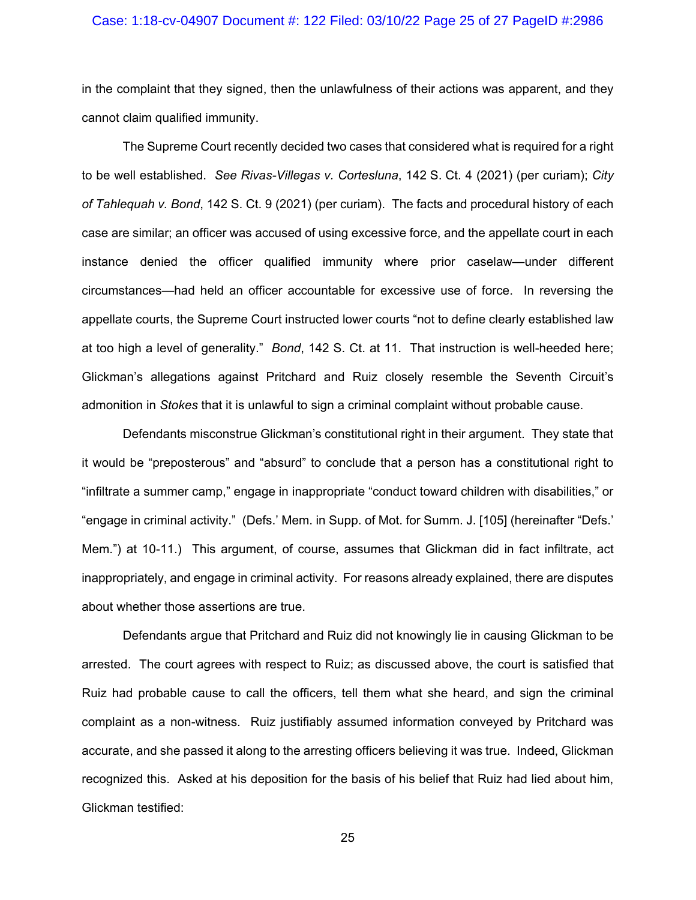## Case: 1:18-cv-04907 Document #: 122 Filed: 03/10/22 Page 25 of 27 PageID #:2986

in the complaint that they signed, then the unlawfulness of their actions was apparent, and they cannot claim qualified immunity.

The Supreme Court recently decided two cases that considered what is required for a right to be well established. *See Rivas-Villegas v. Cortesluna*, 142 S. Ct. 4 (2021) (per curiam); *City of Tahlequah v. Bond*, 142 S. Ct. 9 (2021) (per curiam). The facts and procedural history of each case are similar; an officer was accused of using excessive force, and the appellate court in each instance denied the officer qualified immunity where prior caselaw—under different circumstances—had held an officer accountable for excessive use of force. In reversing the appellate courts, the Supreme Court instructed lower courts "not to define clearly established law at too high a level of generality." *Bond*, 142 S. Ct. at 11. That instruction is well-heeded here; Glickman's allegations against Pritchard and Ruiz closely resemble the Seventh Circuit's admonition in *Stokes* that it is unlawful to sign a criminal complaint without probable cause.

Defendants misconstrue Glickman's constitutional right in their argument. They state that it would be "preposterous" and "absurd" to conclude that a person has a constitutional right to "infiltrate a summer camp," engage in inappropriate "conduct toward children with disabilities," or "engage in criminal activity." (Defs.' Mem. in Supp. of Mot. for Summ. J. [105] (hereinafter "Defs.' Mem.") at 10-11.) This argument, of course, assumes that Glickman did in fact infiltrate, act inappropriately, and engage in criminal activity. For reasons already explained, there are disputes about whether those assertions are true.

Defendants argue that Pritchard and Ruiz did not knowingly lie in causing Glickman to be arrested. The court agrees with respect to Ruiz; as discussed above, the court is satisfied that Ruiz had probable cause to call the officers, tell them what she heard, and sign the criminal complaint as a non-witness. Ruiz justifiably assumed information conveyed by Pritchard was accurate, and she passed it along to the arresting officers believing it was true. Indeed, Glickman recognized this. Asked at his deposition for the basis of his belief that Ruiz had lied about him, Glickman testified: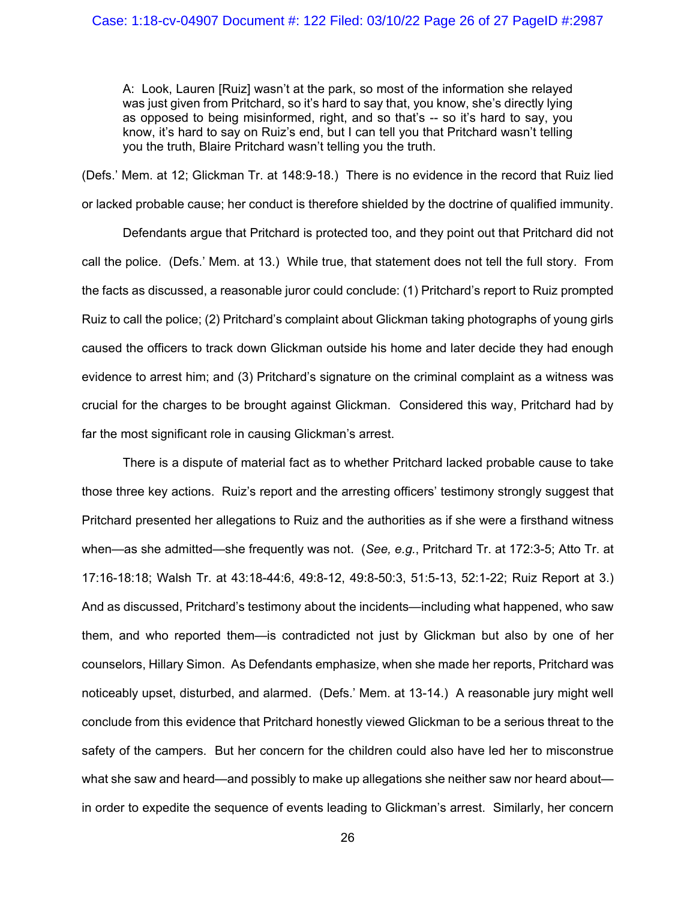A: Look, Lauren [Ruiz] wasn't at the park, so most of the information she relayed was just given from Pritchard, so it's hard to say that, you know, she's directly lying as opposed to being misinformed, right, and so that's -- so it's hard to say, you know, it's hard to say on Ruiz's end, but I can tell you that Pritchard wasn't telling you the truth, Blaire Pritchard wasn't telling you the truth.

(Defs.' Mem. at 12; Glickman Tr. at 148:9-18.) There is no evidence in the record that Ruiz lied or lacked probable cause; her conduct is therefore shielded by the doctrine of qualified immunity.

Defendants argue that Pritchard is protected too, and they point out that Pritchard did not call the police. (Defs.' Mem. at 13.) While true, that statement does not tell the full story. From the facts as discussed, a reasonable juror could conclude: (1) Pritchard's report to Ruiz prompted Ruiz to call the police; (2) Pritchard's complaint about Glickman taking photographs of young girls caused the officers to track down Glickman outside his home and later decide they had enough evidence to arrest him; and (3) Pritchard's signature on the criminal complaint as a witness was crucial for the charges to be brought against Glickman. Considered this way, Pritchard had by far the most significant role in causing Glickman's arrest.

There is a dispute of material fact as to whether Pritchard lacked probable cause to take those three key actions. Ruiz's report and the arresting officers' testimony strongly suggest that Pritchard presented her allegations to Ruiz and the authorities as if she were a firsthand witness when—as she admitted—she frequently was not. (*See, e.g.*, Pritchard Tr. at 172:3-5; Atto Tr. at 17:16-18:18; Walsh Tr. at 43:18-44:6, 49:8-12, 49:8-50:3, 51:5-13, 52:1-22; Ruiz Report at 3.) And as discussed, Pritchard's testimony about the incidents—including what happened, who saw them, and who reported them—is contradicted not just by Glickman but also by one of her counselors, Hillary Simon. As Defendants emphasize, when she made her reports, Pritchard was noticeably upset, disturbed, and alarmed. (Defs.' Mem. at 13-14.) A reasonable jury might well conclude from this evidence that Pritchard honestly viewed Glickman to be a serious threat to the safety of the campers. But her concern for the children could also have led her to misconstrue what she saw and heard—and possibly to make up allegations she neither saw nor heard about in order to expedite the sequence of events leading to Glickman's arrest. Similarly, her concern